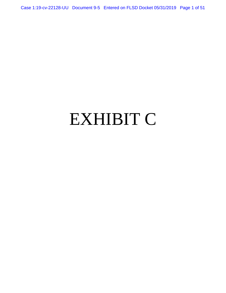Case 1:19-cv-22128-UU Document 9-5 Entered on FLSD Docket 05/31/2019 Page 1 of 51

# EXHIBIT C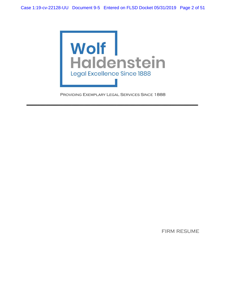

Providing Exemplary Legal Services Since 1888

**-----------------------------------------------------------------------------------------------------------------------------------------------------** 

firm resume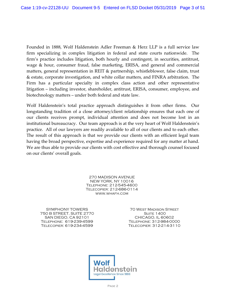Founded in 1888, Wolf Haldenstein Adler Freeman & Herz LLP is a full service law firm specializing in complex litigation in federal and state courts nationwide. The firm's practice includes litigation, both hourly and contingent, in securities, antitrust, wage & hour, consumer fraud, false marketing, ERISA, and general and commercial matters, general representation in REIT & partnership, whistleblower, false claim, trust & estate, corporate investigation, and white collar matters, and FINRA arbitration. The Firm has a particular specialty in complex class action and other representative litigation – including investor, shareholder, antitrust, ERISA, consumer, employee, and biotechnology matters – under both federal and state law.

Wolf Haldenstein's total practice approach distinguishes it from other firms. Our longstanding tradition of a close attorney/client relationship ensures that each one of our clients receives prompt, individual attention and does not become lost in an institutional bureaucracy. Our team approach is at the very heart of Wolf Haldenstein's practice. All of our lawyers are readily available to all of our clients and to each other. The result of this approach is that we provide our clients with an efficient legal team having the broad perspective, expertise and experience required for any matter at hand. We are thus able to provide our clients with cost effective and thorough counsel focused on our clients' overall goals.

> 270 MADISON AVENUE NEW YORK, NY 10016 Telephone: 212-545-4600 Telecopier: 212-686-0114 [www.whafh.com](http://www.whafh.com/)

SYMPHONY TOWERS 750 B STREET, SUITE 2770 SAN DIEGO, CA 92101 Telephone: 619-239-4599 Telecopier: 619-234-4599

70 West Madison Street **SUITE 1400** CHICAGO, IL 60602 Telephone: 312-984-0000 Telecopier: 312-214-3110

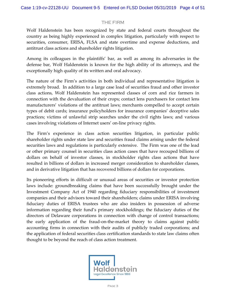# THE FIRM

Wolf Haldenstein has been recognized by state and federal courts throughout the country as being highly experienced in complex litigation, particularly with respect to securities, consumer, ERISA, FLSA and state overtime and expense deductions, and antitrust class actions and shareholder rights litigation.

Among its colleagues in the plaintiffs' bar, as well as among its adversaries in the defense bar, Wolf Haldenstein is known for the high ability of its attorneys, and the exceptionally high quality of its written and oral advocacy.

The nature of the Firm's activities in both individual and representative litigation is extremely broad. In addition to a large case load of securities fraud and other investor class actions, Wolf Haldenstein has represented classes of corn and rice farmers in connection with the devaluation of their crops; contact lens purchasers for contact lens manufacturers' violations of the antitrust laws; merchants compelled to accept certain types of debit cards; insurance policyholders for insurance companies' deceptive sales practices; victims of unlawful strip searches under the civil rights laws; and various cases involving violations of Internet users' on-line privacy rights.

The Firm's experience in class action securities litigation, in particular public shareholder rights under state law and securities fraud claims arising under the federal securities laws and regulations is particularly extensive. The Firm was one of the lead or other primary counsel in securities class action cases that have recouped billions of dollars on behalf of investor classes, in stockholder rights class actions that have resulted in billions of dollars in increased merger consideration to shareholder classes, and in derivative litigation that has recovered billions of dollars for corporations.

Its pioneering efforts in difficult or unusual areas of securities or investor protection laws include: groundbreaking claims that have been successfully brought under the Investment Company Act of 1940 regarding fiduciary responsibilities of investment companies and their advisors toward their shareholders; claims under ERISA involving fiduciary duties of ERISA trustees who are also insiders in possession of adverse information regarding their fund's primary stockholdings; the fiduciary duties of the directors of Delaware corporations in connection with change of control transactions; the early application of the fraud-on-the-market theory to claims against public accounting firms in connection with their audits of publicly traded corporations; and the application of federal securities class certification standards to state law claims often thought to be beyond the reach of class action treatment.

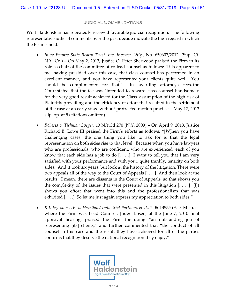## Judicial Commendations

Wolf Haldenstein has repeatedly received favorable judicial recognition. The following representative judicial comments over the past decade indicate the high regard in which the Firm is held:

- *In re Empire State Realty Trust, Inc. Investor Litig*., No. 650607/2012 (Sup. Ct. N.Y. Co.) – On May 2, 2013, Justice O. Peter Sherwood praised the Firm in its role as chair of the committee of co-lead counsel as follows: "It is apparent to me, having presided over this case, that class counsel has performed in an excellent manner, and you have represented your clients quite well. You should be complimented for that." In awarding attorneys' fees, the Court stated that the fee was "intended to reward class counsel handsomely for the very good result achieved for the Class, assumption of the high risk of Plaintiffs prevailing and the efficiency of effort that resulted in the settlement of the case at an early stage without protracted motion practice." May 17, 2013 slip. op. at 5 (citations omitted).
- *Roberts v. Tishman Speyer*, 13 N.Y.3d 270 (N.Y. 2009) On April 9, 2013, Justice Richard B. Lowe III praised the Firm's efforts as follows: "[W]hen you have challenging cases, the one thing you like to ask for is that the legal representation on both sides rise to that level. Because when you have lawyers who are professionals, who are confident, who are experienced, each of you know that each side has a job to do  $[...]$  I want to tell you that I am very satisfied with your performance and with your, quite frankly, tenacity on both sides. And it took six years, but look at the history of the litigation. There were two appeals all of the way to the Court of Appeals [. . . .] And then look at the results. I mean, there are dissents in the Court of Appeals, so that shows you the complexity of the issues that were presented in this litigation  $[...]$  [I]t shows you effort that went into this and the professionalism that was exhibited [....] So let me just again express my appreciation to both sides."
- *K.J. Egleston L.P. v. Heartland Industrial Partners, et al.*, 2:06-13555 (E.D. Mich.) where the Firm was Lead Counsel, Judge Rosen, at the June 7, 2010 final approval hearing, praised the Firm for doing "an outstanding job of representing [its] clients," and further commented that "the conduct of all counsel in this case and the result they have achieved for all of the parties confirms that they deserve the national recognition they enjoy."

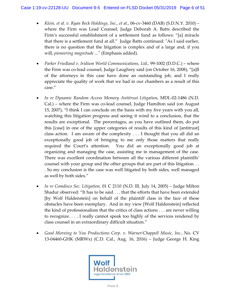- *Klein, et al. v. Ryan Beck Holdings, Inc., et al.*, 06-cv-3460 (DAB) (S.D.N.Y. 2010) where the Firm was Lead Counsel, Judge Deborah A. Batts described the Firm's successful establishment of a settlement fund as follows: "[a] miracle that there is a settlement fund at all." Judge Batts continued*:* "As I said earlier, there is no question that the litigation is complex and of a large and, if you will, *pioneering magnitude ..."* (Emphasis added).
- *Parker Friedland v. Iridium World Communications, Ltd.,* 99-1002 (D.D.C.) where the Firm was co-lead counsel, Judge Laughrey said (on October 16, 2008), "[a]ll of the attorneys in this case have done an outstanding job, and I really appreciate the quality of work that we had in our chambers as a result of this case."
- *In re Dynamic Random Access Memory Antitrust Litigation*, MDL-02-1486 (N.D. Cal.) – where the Firm was co-lead counsel, Judge Hamilton said (on August 15, 2007), "I think I can conclude on the basis with my five years with you all, watching this litigation progress and seeing it wind to a conclusion, that the results are exceptional. The percentages, as you have outlined them, do put this [case] in one of the upper categories of results of this kind of [antitrust] class action. I am aware of the complexity . . . I thought that you all did an exceptionally good job of bringing to me only those matters that really required the Court's attention. You did an exceptionally good job at organizing and managing the case, assisting me in management of the case. There was excellent coordination between all the various different plaintiffs' counsel with your group and the other groups that are part of this litigation. . . . So my conclusion is the case was well litigated by both sides, well managed as well by both sides."
- *In re Comdisco Sec. Litigation,* 01 C 2110 (N.D. Ill. July 14, 2005) Judge Milton Shadur observed: "It has to be said . . . that the efforts that have been extended [by Wolf Haldenstein] on behalf of the plaintiff class in the face of these obstacles have been exemplary. And in my view [Wolf Haldenstein] reflected the kind of professionalism that the critics of class actions . . . are never willing to recognize. . . . I really cannot speak too highly of the services rendered by class counsel in an extraordinary difficult situation."
- *Good Morning to You Productions Corp. v. Warner/Chappell Music, Inc.***,** No. CV 13-04460-GHK (MRWx) (C.D. Cal., Aug. 16, 2016) – Judge George H. King

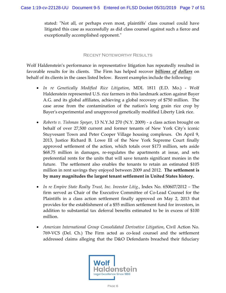stated: "Not all, or perhaps even most, plaintiffs' class counsel could have litigated this case as successfully as did class counsel against such a fierce and exceptionally accomplished opponent."

### Recent Noteworthy Results

Wolf Haldenstein's performance in representative litigation has repeatedly resulted in favorable results for its clients. The Firm has helped recover *billions of dollars* on behalf of its clients in the cases listed below. Recent examples include the following:

- *In re Genetically Modified Rice Litigation*, MDL 1811 (E.D. Mo.) Wolf Haldenstein represented U.S. rice farmers in this landmark action against Bayer A.G. and its global affiliates, achieving a global recovery of \$750 million. The case arose from the contamination of the nation's long grain rice crop by Bayer's experimental and unapproved genetically modified Liberty Link rice.
- *Roberts v. Tishman Speyer*, 13 N.Y.3d 270 (N.Y. 2009) a class action brought on behalf of over 27,500 current and former tenants of New York City's iconic Stuyvesant Town and Peter Cooper Village housing complexes. On April 9, 2013, Justice Richard B. Lowe III of the New York Supreme Court finally approved settlement of the action, which totals over \$173 million, sets aside \$68.75 million in damages, re-regulates the apartments at issue, and sets preferential rents for the units that will save tenants significant monies in the future. The settlement also enables the tenants to retain an estimated \$105 million in rent savings they enjoyed between 2009 and 2012. **The settlement is by many magnitudes the largest tenant settlement in United States history.**
- *In re Empire State Realty Trust, Inc. Investor Litig.*, Index No. 650607/2012 The firm served as Chair of the Executive Committee of Co-Lead Counsel for the Plaintiffs in a class action settlement finally approved on May 2, 2013 that provides for the establishment of a \$55 million settlement fund for investors, in addition to substantial tax deferral benefits estimated to be in excess of \$100 million.
- *American International Group Consolidated Derivative Litigation*, Civil Action No. 769-VCS (Del. Ch.) The Firm acted as co-lead counsel and the settlement addressed claims alleging that the D&O Defendants breached their fiduciary

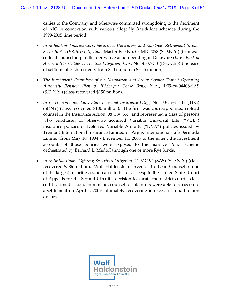duties to the Company and otherwise committed wrongdoing to the detriment of AIG in connection with various allegedly fraudulent schemes during the 1999-2005 time period.

- *In re Bank of America Corp. Securities, Derivative, and Employee Retirement Income Security Act (ERISA) Litigation*, Master File No. 09 MD 2058 (S.D.N.Y.) (firm was co-lead counsel in parallel derivative action pending in Delaware (*In Re Bank of America Stockholder Derivative Litigation*, C.A. No. 4307-CS (Del. Ch.)) (increase of settlement cash recovery from \$20 million to \$62.5 million).
- *The Investment Committee of the Manhattan and Bronx Service Transit Operating Authority Pension Plan v. JPMorgan Chase Bank,* N.A., 1:09-cv-04408-SAS (S.D.N.Y.) (class recovered \$150 million).
- *In re Tremont Sec. Law, State Law and Insurance Litig*., No. 08-civ-11117 (TPG) (SDNY) (class recovered \$100 million). The firm was court-appointed co-lead counsel in the Insurance Action, 08 Civ. 557, and represented a class of persons who purchased or otherwise acquired Variable Universal Life ("VUL") insurance policies or Deferred Variable Annuity ("DVA") policies issued by Tremont International Insurance Limited or Argus International Life Bermuda Limited from May 10, 1994 - December 11, 2008 to the extent the investment accounts of those policies were exposed to the massive Ponzi scheme orchestrated by Bernard L. Madoff through one or more Rye funds.
- *In re Initial Public Offering Securities Litigation*, 21 MC 92 (SAS) (S.D.N.Y.) (class recovered \$586 million). Wolf Haldenstein served as Co-Lead Counsel of one of the largest securities fraud cases in history. Despite the United States Court of Appeals for the Second Circuit's decision to vacate the district court's class certification decision, on remand, counsel for plaintiffs were able to press on to a settlement on April 1, 2009, ultimately recovering in excess of a half-billion dollars.

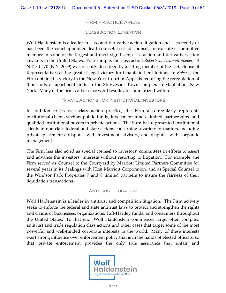# FIRM PRACTICE AREAS

#### Class Action Litigation

Wolf Haldenstein is a leader in class and derivative action litigation and is currently or has been the court-appointed lead counsel, co-lead counsel, or executive committee member in some of the largest and most significant class action and derivative action lawsuits in the United States. For example, the class action *Roberts v. Tishman Speyer*, 13 N.Y.3d 270 (N.Y. 2009) was recently described by a sitting member of the U.S. House of Representatives as the greatest legal victory for tenants in her lifetime. In *Roberts*, the Firm obtained a victory in the New York Court of Appeals requiring the reregulation of thousands of apartment units in the Stuyvesant Town complex in Manhattan, New York. Many of the firm's other successful results are summarized within.

#### Private Actions for Institutional Investors

In addition to its vast class action practice, the Firm also regularly represents institutional clients such as public funds, investment funds, limited partnerships, and qualified institutional buyers in private actions. The Firm has represented institutional clients in non-class federal and state actions concerning a variety of matters, including private placements, disputes with investment advisors, and disputes with corporate management.

The Firm has also acted as special counsel to investors' committees in efforts to assert and advance the investors' interests without resorting to litigation. For example, the Firm served as Counsel to the Courtyard by Marriott Limited Partners Committee for several years in its dealings with Host Marriott Corporation, and as Special Counsel to the Windsor Park Properties 7 and 8 limited partners to insure the fairness of their liquidation transactions.

#### Antitrust Litigation

Wolf Haldenstein is a leader in antitrust and competition litigation. The Firm actively seeks to enforce the federal and state antitrust laws to protect and strengthen the rights and claims of businesses, organizations, Taft-Hartley funds, and consumers throughout the United States. To that end, Wolf Haldenstein commences large, often complex, antitrust and trade regulation class actions and other cases that target some of the most powerful and well-funded corporate interests in the world. Many of these interests exert strong influence over enforcement policy that is in the hands of elected officials, so that private enforcement provides the only true assurance that unfair and

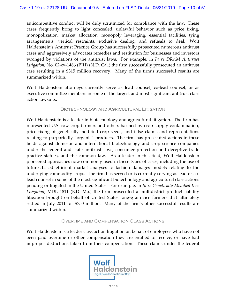anticompetitive conduct will be duly scrutinized for compliance with the law. These cases frequently bring to light concealed, unlawful behavior such as price fixing, monopolization, market allocation, monopoly leveraging, essential facilities, tying arrangements, vertical restraints, exclusive dealing, and refusals to deal. Wolf Haldenstein's Antitrust Practice Group has successfully prosecuted numerous antitrust cases and aggressively advocates remedies and restitution for businesses and investors wronged by violations of the antitrust laws. For example, in *In re DRAM Antitrust Litigation*, No. 02-cv-1486 (PJH) (N.D. Cal.) the firm successfully prosecuted an antitrust case resulting in a \$315 million recovery. Many of the firm's successful results are summarized within.

Wolf Haldenstein attorneys currently serve as lead counsel, co-lead counsel, or as executive committee members in some of the largest and most significant antitrust class action lawsuits.

#### Biotechnology and Agricultural Litigation

Wolf Haldenstein is a leader in biotechnology and agricultural litigation. The firm has represented U.S. row crop farmers and others harmed by crop supply contamination, price fixing of genetically-modified crop seeds, and false claims and representations relating to purportedly "organic" products. The firm has prosecuted actions in these fields against domestic and international biotechnology and crop science companies under the federal and state antitrust laws, consumer protection and deceptive trade practice statues, and the common law. As a leader in this field, Wolf Haldenstein pioneered approaches now commonly used in these types of cases, including the use of futures-based efficient market analyses to fashion damages models relating to the underlying commodity crops. The firm has served or is currently serving as lead or colead counsel in some of the most significant biotechnology and agricultural class actions pending or litigated in the United States. For example, in *In re Genetically Modified Rice Litigation*, MDL 1811 (E.D. Mo.) the firm prosecuted a multidistrict product liability litigation brought on behalf of United States long-grain rice farmers that ultimately settled in July 2011 for \$750 million. Many of the firm's other successful results are summarized within.

## Overtime and Compensation Class Actions

Wolf Haldenstein is a leader class action litigation on behalf of employees who have not been paid overtime or other compensation they are entitled to receive, or have had improper deductions taken from their compensation. These claims under the federal

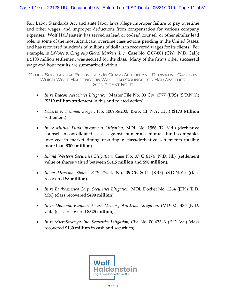Fair Labor Standards Act and state labor laws allege improper failure to pay overtime and other wages, and improper deductions from compensation for various company expenses. Wolf Haldenstein has served as lead or co-lead counsel, or other similar lead role, in some of the most significant overtime class actions pending in the United States, and has recovered hundreds of millions of dollars in recovered wages for its clients. For example, in *LaVoice v. Citigroup Global Markets, Inc*., Case No. C 07-801 (CW) (N.D. Cal.)) a \$108 million settlement was secured for the class. Many of the firm's other successful wage and hour results are summarized within.

Other Substantial Recoveries In Class Action And Derivative Cases in Which Wolf Haldenstein Was Lead Counsel or Had Another Significant Role

- *In re Beacon Associates Litigation*, Master File No. 09 Civ. 0777 (LBS) (S.D.N.Y.) (**\$219 million** settlement in this and related action).
- *Roberts v. Tishman Speyer*, No. 100956/2007 (Sup. Ct. N.Y. Cty.) (**\$173 Million**  settlement).
- *In re Mutual Fund Investment Litigation,* MDL No. 1586 (D. Md.) (derivative counsel in consolidated cases against numerous mutual fund companies involved in market timing resulting in class/derivative settlements totaling more than **\$300 million**).
- *Inland Western Securities Litigation,* Case No. 07 C 6174 (N.D. Ill.) (settlement value of shares valued between **\$61.5 million** and **\$90 million**).
- *In re Direxion Shares ETF Trust*, No. 09-Civ-8011 (KBF) (S.D.N.Y.) (class recovered **\$8 million**).
- *In re BankAmerica Corp. Securities Litigation,* MDL Docket No. 1264 (JFN) (E.D. Mo.) (class recovered **\$490 million**).
- *In re Dynamic Random Access Memory Antitrust Litigation,* (MD-02 1486 (N.D. Cal.) (class recovered **\$325 million**).
- *In re MicroStrategy, Inc. Securities Litigation,* Civ. No. 00-473-A (E.D. Va.) (class recovered **\$160 million** in cash and securities).

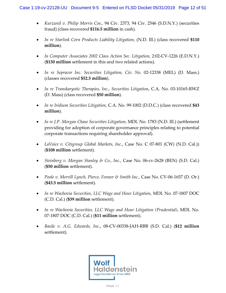- *Kurzweil v. Philip Morris Cos.,* 94 Civ. 2373, 94 Civ. 2546 (S.D.N.Y.) (securities fraud) (class recovered **\$116.5 million** in cash).
- *In re Starlink Corn Products Liability Litigation,* (N.D. Ill.) (class recovered **\$110 million**).
- In Computer Associates 2002 Class Action Sec. Litigation, 2:02-CV-1226 (E.D.N.Y.) (**\$130 million** settlement in this and two related actions).
- *In re Sepracor Inc. Securities Litigation, Civ. No.* 02-12338 (MEL) (D. Mass.) (classes recovered **\$52.5 million**).
- *In re Transkaryotic Therapies, Inc., Securities Litigation*, C.A. No. 03-10165-RWZ (D. Mass) (class recovered **\$50 million**).
- *In re Iridium Securities Litigation,* C.A. No. 99-1002 (D.D.C.) (class recovered **\$43 million**).
- *In re J.P. Morgan Chase Securities Litigation,* MDL No. 1783 (N.D. Ill.) (settlement providing for adoption of corporate governance principles relating to potential corporate transactions requiring shareholder approval).
- *LaVoice v. Citigroup Global Markets, Inc*., Case No. C 07-801 (CW) (N.D. Cal.)) (**\$108 million** settlement).
- *Steinberg v. Morgan Stanley & Co., Inc.*, Case No. 06-cv-2628 (BEN) (S.D. Cal.) (**\$50 million** settlement).
- *Poole v. Merrill Lynch, Pierce, Fenner & Smith Inc.*, Case No. CV-06-1657 (D. Or.) (**\$43.5 million** settlement).
- *In re Wachovia Securities, LLC Wage and Hour Litigation*, MDL No. 07-1807 DOC (C.D. Cal.) (**\$39 million** settlement).
- *In re Wachovia Securities, LLC Wage and Hour Litigation (Prudential)*, MDL No. 07-1807 DOC (C.D. Cal.) (**\$11 million** settlement).
- *Basile v. A.G. Edwards, Inc*., 08-CV-00338-JAH-RBB (S.D. Cal.) (**\$12 million**  settlement).

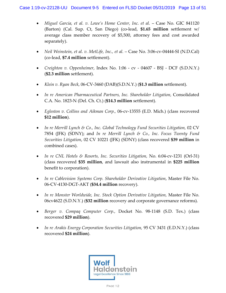- *Miguel Garcia, et al. v. Lowe's Home Center, Inc. et al.* Case No. GIC 841120 (Barton) (Cal. Sup. Ct, San Diego) (co-lead, **\$1.65 million** settlement w/ average class member recovery of \$5,500, attorney fees and cost awarded separately).
- *Neil Weinstein, et al. v. MetLife, Inc., et al.*  Case No. 3:06-cv-04444-SI (N.D.Cal) (co-lead, **\$7.4 million** settlement).
- *Creighton v. Oppenheimer*, Index No. 1:06 cv 04607 BSJ DCF (S.D.N.Y.) (**\$2.3 million** settlement).
- *Klein v. Ryan Beck*, 06-CV-3460 (DAB)(S.D.N.Y.) (**\$1.3 million** settlement).
- *In re American Pharmaceutical Partners, Inc. Shareholder Litigation,* Consolidated C.A. No. 1823-N (Del. Ch. Ct.) (**\$14.3 million** settlement).
- *Egleston v. Collins and Aikman Corp.,* 06-cv-13555 (E.D. Mich.) (class recovered **\$12 million**).
- *In re Merrill Lynch & Co., Inc. Global Technology Fund Securities Litigation,* 02 CV 7854 (JFK) (SDNY); and *In re Merrill Lynch & Co., Inc. Focus Twenty Fund Securities Litigation*, 02 CV 10221 (JFK) (SDNY) (class recovered **\$39 million** in combined cases).
- *In re CNL Hotels & Resorts, Inc. Securities Litigation, No. 6:04-cv-1231 (Orl-31)* (class recovered **\$35 million**, and lawsuit also instrumental in **\$225 million** benefit to corporation).
- *In re Cablevision Systems Corp. Shareholder Derivative Litigation*, Master File No. 06-CV-4130-DGT-AKT (**\$34.4 million** recovery).
- *In re Monster Worldwide, Inc. Stock Option Derivative Litigation,* Master File No. 06cv4622 (S.D.N.Y.) (**\$32 million** recovery and corporate governance reforms).
- *Berger v. Compaq Computer Corp.,* Docket No. 98-1148 (S.D. Tex.) (class recovered **\$29 million**).
- *In re Arakis Energy Corporation Securities Litigation,* 95 CV 3431 (E.D.N.Y.) (class recovered **\$24 million**).

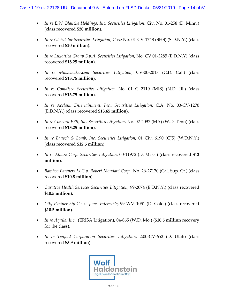- *In re E.W. Blanche Holdings, Inc. Securities Litigation*, Civ. No. 01-258 (D. Minn.) (class recovered **\$20 million**).
- *In re Globalstar Securities Litigation,* Case No. 01-CV-1748 (SHS) (S.D.N.Y.) (class recovered **\$20 million**).
- *In re Luxottica Group S.p.A. Securities Litigation,* No. CV 01-3285 (E.D.N.Y) (class recovered **\$18.25 million**).
- *In re Musicmaker.com Securities Litigation,* CV-00-2018 (C.D. Cal.) (class recovered **\$13.75 million**).
- *In re Comdisco Securities Litigation,* No. 01 C 2110 (MIS) (N.D. Ill.) (class recovered **\$13.75 million**).
- *In re Acclaim Entertainment, Inc., Securities Litigation,* C.A. No. 03-CV-1270 (E.D.N.Y.) (class recovered **\$13.65 million**).
- *In re Concord EFS, Inc. Securities Litigation*, No. 02-2097 (MA) (W.D. Tenn) (class recovered **\$13.25 million**).
- *In re Bausch & Lomb, Inc. Securities Litigation,* 01 Civ. 6190 (CJS) (W.D.N.Y.) (class recovered **\$12.5 million**).
- *In re Allaire Corp. Securities Litigation,* 00-11972 (D. Mass.) (class recovered **\$12 million**).
- *Bamboo Partners LLC v. Robert Mondavi Corp.,* No. 26-27170 (Cal. Sup. Ct.) (class recovered **\$10.8 million**).
- *Curative Health Services Securities Litigation,* 99-2074 (E.D.N.Y.) (class recovered **\$10.5 million**).
- *City Partnership Co. v. Jones Intercable*, 99 WM-1051 (D. Colo.) (class recovered **\$10.5 million**).
- *In re Aquila, Inc.,* (ERISA Litigation), 04-865 (W.D. Mo.) (**\$10.5 million** recovery for the class).
- *In re Tenfold Corporation Securities Litigation,* 2:00-CV-652 (D. Utah) (class recovered **\$5.9 million**).

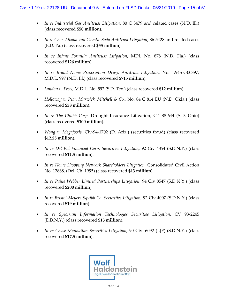- *In re Industrial Gas Antitrust Litigation*, 80 C 3479 and related cases (N.D. Ill.) (class recovered **\$50 million**).
- *In re Chor-Alkalai and Caustic Soda Antitrust Litigation*, 86-5428 and related cases (E.D. Pa.) (class recovered **\$55 million**).
- *In re Infant Formula Antitrust Litigation,* MDL No. 878 (N.D. Fla.) (class recovered **\$126 million**).
- *In re Brand Name Prescription Drugs Antitrust Litigation,* No. 1:94-cv-00897, M.D.L. 997 (N.D. Ill.) (class recovered **\$715 million**).
- *Landon v. Freel,* M.D.L. No. 592 (S.D. Tex.) (class recovered **\$12 million**).
- *Holloway v. Peat, Marwick, Mitchell & Co.,* No. 84 C 814 EU (N.D. Okla.) (class recovered **\$38 million**).
- *In re The Chubb Corp.* Drought Insurance Litigation, C-1-88-644 (S.D. Ohio) (class recovered **\$100 million**).
- *Wong v. Megafoods,* Civ-94-1702 (D. Ariz.) (securities fraud) (class recovered **\$12.25 million**).
- *In re Del Val Financial Corp. Securities Litigation,* 92 Civ 4854 (S.D.N.Y.) (class recovered **\$11.5 million**).
- *In re Home Shopping Network Shareholders Litigation, Consolidated Civil Action* No. 12868, (Del. Ch. 1995) (class recovered **\$13 million**).
- *In re Paine Webber Limited Partnerships Litigation, 94 Civ 8547 (S.D.N.Y.)* (class recovered **\$200 million**).
- *In re Bristol-Meyers Squibb Co. Securities Litigation,* 92 Civ 4007 (S.D.N.Y.) (class recovered **\$19 million**).
- In re Spectrum Information Technologies Securities Litigation, CV 93-2245 (E.D.N.Y.) (class recovered **\$13 million**).
- *In re Chase Manhattan Securities Litigation,* 90 Civ. 6092 (LJF) (S.D.N.Y.) (class recovered **\$17.5 million**).

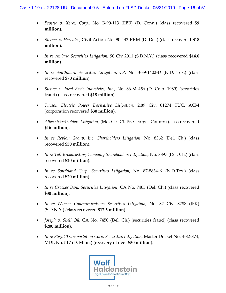- *Prostic v. Xerox Corp*., No. B-90-113 (EBB) (D. Conn.) (class recovered **\$9 million**).
- *Steiner v. Hercules,* Civil Action No. 90-442-RRM (D. Del.) (class recovered **\$18 million**).
- *In re Ambase Securities Litigation,* 90 Civ 2011 (S.D.N.Y.) (class recovered **\$14.6 million**).
- *In re Southmark Securities Litigation,* CA No. 3-89-1402-D (N.D. Tex.) (class recovered **\$70 million**).
- *Steiner v. Ideal Basic Industries, Inc.,* No. 86-M 456 (D. Colo. 1989) (securities fraud) (class recovered **\$18 million**).
- *Tucson Electric Power Derivative Litigation,* 2:89 Civ. 01274 TUC. ACM (corporation recovered **\$30 million**).
- *Alleco Stockholders Litigation,* (Md. Cir. Ct. Pr. Georges County) (class recovered **\$16 million**).
- *In re Revlon Group, Inc. Shareholders Litigation*, No. 8362 (Del. Ch.) (class recovered **\$30 million**).
- *In re Taft Broadcasting Company Shareholders Litigation,* No. 8897 (Del. Ch.) (class recovered **\$20 million**).
- *In re Southland Corp. Securities Litigation,* No. 87-8834-K (N.D.Tex.) (class recovered **\$20 million**).
- *In re Crocker Bank Securities Litigation*, CA No. 7405 (Del. Ch.) (class recovered **\$30 million**).
- *In re Warner Communications Securities Litigation,* No. 82 Civ. 8288 (JFK) (S.D.N.Y.) (class recovered **\$17.5 million**).
- *Joseph v. Shell Oil,* CA No. 7450 (Del. Ch.) (securities fraud) (class recovered **\$200 million**).
- *In re Flight Transportation Corp. Securities Litigation,* Master Docket No. 4-82-874, MDL No. 517 (D. Minn.) (recovery of over **\$50 million**).

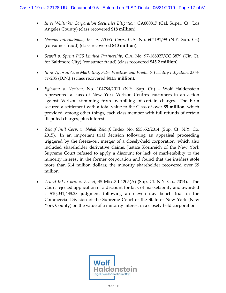- *In re Whittaker Corporation Securities Litigation, CA000817 (Cal. Super. Ct., Los* Angeles County) (class recovered **\$18 million**).
- *Naevus International, Inc. v. AT&T Corp.,* C.A. No. 602191/99 (N.Y. Sup. Ct.) (consumer fraud) (class recovered **\$40 million**).
- *Sewell v. Sprint PCS Limited Partnership*, C.A. No. 97-188027/CC 3879 (Cir. Ct. for Baltimore City) (consumer fraud) (class recovered **\$45.2 million**).
- In re Vytorin/Zetia Marketing, Sales Practices and Products Liability Litigation, 2:08cv-285 (D.N.J.) (class recovered **\$41.5 million**).
- *Egleston v. Verizon*, No. 104784/2011 (N.Y. Sup. Ct.) Wolf Haldenstein represented a class of New York Verizon Centrex customers in an action against Verizon stemming from overbilling of certain charges. The Firm secured a settlement with a total value to the Class of over **\$5 million**, which provided, among other things, each class member with full refunds of certain disputed charges, plus interest.
- *Zelouf Int'l Corp. v. Nahal Zelouf*, Index No. 653652/2014 (Sup. Ct. N.Y. Co. 2015). In an important trial decision following an appraisal proceeding triggered by the freeze-out merger of a closely-held corporation, which also included shareholder derivative claims, Justice Kornreich of the New York Supreme Court refused to apply a discount for lack of marketability to the minority interest in the former corporation and found that the insiders stole more than \$14 million dollars; the minority shareholder recovered over \$9 million.
- *Zelouf Int'l Corp. v. Zelouf*, 45 Misc.3d 1205(A) (Sup. Ct. N.Y. Co., 2014). The Court rejected application of a discount for lack of marketability and awarded a \$10,031,438.28 judgment following an eleven day bench trial in the Commercial Division of the Supreme Court of the State of New York (New York County) on the value of a minority interest in a closely held corporation.

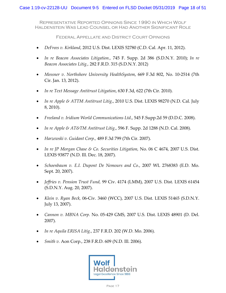Representative Reported Opinions Since 1990 in Which Wolf Haldenstein Was Lead Counsel or Had Another Significant Role

Federal Appellate and District Court Opinions

- *DeFrees v. Kirkland*, 2012 U.S. Dist. LEXIS 52780 (C.D. Cal. Apr. 11, 2012).
- *In re Beacon Associates Litigation.,* 745 F. Supp. 2d 386 (S.D.N.Y. 2010); *In re Beacon Associates Litig.,* 282 F.R.D. 315 (S.D.N.Y. 2012)
- *Messner v. Northshore University HealthSystem*, 669 F.3d 802, No. 10-2514 (7th Cir. Jan. 13, 2012).
- *In re Text Message Antitrust Litigation*, 630 F.3d, 622 (7th Cir. 2010).
- *In re Apple & ATTM Antitrust Litig*., 2010 U.S. Dist. LEXIS 98270 (N.D. Cal. July 8, 2010).
- *Freeland v. Iridium World Communications Ltd*., 545 F.Supp.2d 59 (D.D.C. 2008).
- *In re Apple & AT&TM Antitrust Litig*., 596 F. Supp. 2d 1288 (N.D. Cal. 2008).
- *Harzewski v. Guidant Corp.,* 489 F.3d 799 (7th Cir. 2007).
- *In re JP Morgan Chase & Co. Securities Litigation,* No. 06 C 4674, 2007 U.S. Dist. LEXIS 93877 (N.D. Ill. Dec. 18, 2007).
- *Schoenbaum v. E.I. Dupont De Nemours and Co.*, 2007 WL 2768383 (E.D. Mo. Sept. 20, 2007).
- *Jeffries v. Pension Trust Fund,* 99 Civ. 4174 (LMM), 2007 U.S. Dist. LEXIS 61454 (S.D.N.Y. Aug. 20, 2007).
- *Klein v. Ryan Beck,* 06-Civ. 3460 (WCC), 2007 U.S. Dist. LEXIS 51465 (S.D.N.Y. July 13, 2007).
- *Cannon v. MBNA Corp.* No. 05-429 GMS, 2007 U.S. Dist. LEXIS 48901 (D. Del. 2007).
- *In re Aquila ERISA Litig.*, 237 F.R.D. 202 (W.D. Mo. 2006).
- *Smith v.* Aon Corp., 238 F.R.D. 609 (N.D. Ill. 2006).

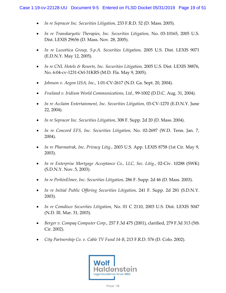- *In re Sepracor Inc. Securities Litigation,* 233 F.R.D. 52 (D. Mass. 2005).
- *In re Transkaryotic Therapies, Inc. Securities Litigation,* No. 03-10165, 2005 U.S. Dist. LEXIS 29656 (D. Mass. Nov. 28, 2005).
- *In re Luxottica Group, S.p.A. Securities Litigation,* 2005 U.S. Dist. LEXIS 9071 (E.D.N.Y. May 12, 2005).
- *In re CNL Hotels & Resorts, Inc. Securities Litigation,* 2005 U.S. Dist. LEXIS 38876, No. 6:04-cv-1231-Orl-31KRS (M.D. Fla. May 9, 2005).
- *Johnson v. Aegon USA, Inc.,* 1:01-CV-2617 (N.D. Ga. Sept. 20, 2004).
- *Freeland v. Iridium World Communications, Ltd.,* 99-1002 (D.D.C. Aug. 31, 2004).
- *In re Acclaim Entertainment, Inc. Securities Litigation,* 03-CV-1270 (E.D.N.Y. June 22, 2004).
- *In re Sepracor Inc. Securities Litigation,* 308 F. Supp. 2d 20 (D. Mass. 2004).
- *In re Concord EFS, Inc. Securities Litigation,* No. 02-2697 (W.D. Tenn. Jan. 7, 2004).
- *In re Pharmatrak, Inc. Privacy Litig.*, 2003 U.S. App. LEXIS 8758 (1st Cir. May 9, 2003).
- *In re Enterprise Mortgage Acceptance Co., LLC, Sec. Litig.*, 02-Civ. 10288 (SWK) (S.D.N.Y. Nov. 5, 2003).
- *In re PerkinElmer, Inc. Securities Litigation,* 286 F. Supp. 2d 46 (D. Mass. 2003).
- *In re Initial Public Offering Securities Litigation,* 241 F. Supp. 2d 281 (S.D.N.Y. 2003).
- *In re Comdisco Securities Litigation,* No. 01 C 2110, 2003 U.S. Dist. LEXIS 5047 (N.D. Ill. Mar. 31, 2003).
- *Berger v. Compaq Computer Corp.,* 257 F.3d 475 (2001), clarified, 279 F.3d 313 (5th Cir. 2002).
- *City Partnership Co. v. Cable TV Fund 14-B*, 213 F.R.D. 576 (D. Colo. 2002).

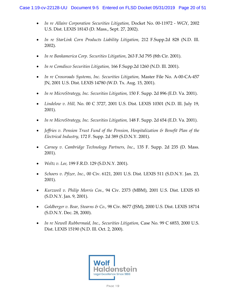- *In re Allaire Corporation Securities Litigation,* Docket No. 00-11972 WGY, 2002 U.S. Dist. LEXIS 18143 (D. Mass., Sept. 27, 2002).
- *In re StarLink Corn Products Liability Litigation,* 212 F.Supp.2d 828 (N.D. Ill. 2002).
- *In re Bankamerica Corp. Securities Litigation*, 263 F.3d 795 (8th Cir. 2001).
- *In re Comdisco Securities Litigation,* 166 F.Supp.2d 1260 (N.D. Ill. 2001).
- *In re Crossroads Systems, Inc. Securities Litigation,* Master File No. A-00-CA-457 JN, 2001 U.S. Dist. LEXIS 14780 (W.D. Tx. Aug. 15, 2001).
- *In re MicroStrategy, Inc. Securities Litigation,* 150 F. Supp. 2d 896 (E.D. Va. 2001).
- *Lindelow v. Hill,* No. 00 C 3727, 2001 U.S. Dist. LEXIS 10301 (N.D. Ill. July 19, 2001).
- *In re MicroStrategy, Inc. Securities Litigation,* 148 F. Supp. 2d 654 (E.D. Va. 2001).
- *Jeffries v. Pension Trust Fund of the Pension, Hospitalization & Benefit Plan of the Electrical Industry,* 172 F. Supp. 2d 389 (S.D.N.Y. 2001).
- *Carney v. Cambridge Technology Partners, Inc.,* 135 F. Supp. 2d 235 (D. Mass. 2001).
- *Weltz v. Lee,* 199 F.R.D. 129 (S.D.N.Y. 2001).
- *Schoers v. Pfizer, Inc.,* 00 Civ. 6121, 2001 U.S. Dist. LEXIS 511 (S.D.N.Y. Jan. 23, 2001).
- *Kurzweil v. Philip Morris Cos.,* 94 Civ. 2373 (MBM), 2001 U.S. Dist. LEXIS 83 (S.D.N.Y. Jan. 9, 2001).
- *Goldberger v. Bear, Stearns & Co.,* 98 Civ. 8677 (JSM), 2000 U.S. Dist. LEXIS 18714 (S.D.N.Y. Dec. 28, 2000).
- *In re Newell Rubbermaid, Inc., Securities Litigation,* Case No. 99 C 6853, 2000 U.S. Dist. LEXIS 15190 (N.D. Ill. Oct. 2, 2000).

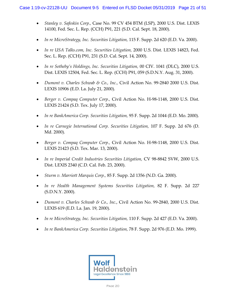- *Stanley v. Safeskin Corp.,* Case No. 99 CV 454 BTM (LSP), 2000 U.S. Dist. LEXIS 14100, Fed. Sec. L. Rep. (CCH) P91, 221 (S.D. Cal. Sept. 18, 2000).
- *In re MicroStrategy, Inc. Securities Litigation,* 115 F. Supp. 2d 620 (E.D. Va. 2000).
- *In re USA Talks.com, Inc. Securities Litigation,* 2000 U.S. Dist. LEXIS 14823, Fed. Sec. L. Rep. (CCH) P91, 231 (S.D. Cal. Sept. 14, 2000).
- *In re Sotheby's Holdings, Inc. Securities Litigation,* 00 CIV. 1041 (DLC), 2000 U.S. Dist. LEXIS 12504, Fed. Sec. L. Rep. (CCH) P91, 059 (S.D.N.Y. Aug. 31, 2000).
- *Dumont v. Charles Schwab & Co., Inc.,* Civil Action No. 99-2840 2000 U.S. Dist. LEXIS 10906 (E.D. La. July 21, 2000).
- *Berger v. Compaq Computer Corp.,* Civil Action No. H-98-1148, 2000 U.S. Dist. LEXIS 21424 (S.D. Tex. July 17, 2000).
- *In re BankAmerica Corp. Securities Litigation,* 95 F. Supp. 2d 1044 (E.D. Mo. 2000).
- *In re Carnegie International Corp. Securities Litigation,* 107 F. Supp. 2d 676 (D. Md. 2000).
- *Berger v. Compaq Computer Corp.,* Civil Action No. H-98-1148, 2000 U.S. Dist. LEXIS 21423 (S.D. Tex. Mar. 13, 2000).
- In re Imperial Credit Industries Securities Litigation, CV 98-8842 SVW, 2000 U.S. Dist. LEXIS 2340 (C.D. Cal. Feb. 23, 2000).
- *Sturm v. Marriott Marquis Corp.,* 85 F. Supp. 2d 1356 (N.D. Ga. 2000).
- *In re Health Management Systems Securities Litigation,* 82 F. Supp. 2d 227 (S.D.N.Y. 2000).
- *Dumont v. Charles Schwab & Co., Inc.*, Civil Action No. 99-2840, 2000 U.S. Dist. LEXIS 619 (E.D. La. Jan. 19, 2000).
- *In re MicroStrategy, Inc. Securities Litigation,* 110 F. Supp. 2d 427 (E.D. Va. 2000).
- *In re BankAmerica Corp. Securities Litigation,* 78 F. Supp. 2d 976 (E.D. Mo. 1999).

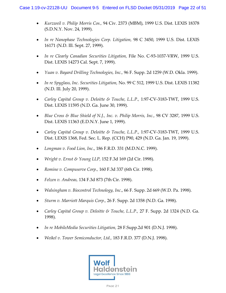- *Kurzweil v. Philip Morris Cos.,* 94 Civ. 2373 (MBM), 1999 U.S. Dist. LEXIS 18378 (S.D.N.Y. Nov. 24, 1999).
- *In re Nanophase Technologies Corp. Litigation,* 98 C 3450, 1999 U.S. Dist. LEXIS 16171 (N.D. Ill. Sept. 27, 1999).
- In re Clearly Canadian Securities Litigation, File No. C-93-1037-VRW, 1999 U.S. Dist. LEXIS 14273 Cal. Sept. 7, 1999).
- *Yuan v. Bayard Drilling Technologies, Inc.,* 96 F. Supp. 2d 1259 (W.D. Okla. 1999).
- *In re Spyglass, Inc. Securities Litigation,* No. 99 C 512, 1999 U.S. Dist. LEXIS 11382 (N.D. Ill. July 20, 1999).
- *Carley Capital Group v. Deloitte & Touche, L.L.P.,* 1:97-CV-3183-TWT, 1999 U.S. Dist. LEXIS 11595 (N.D. Ga. June 30, 1999).
- *Blue Cross & Blue Shield of N.J., Inc. v. Philip Morris, Inc.,* 98 CV 3287, 1999 U.S. Dist. LEXIS 11363 (E.D.N.Y. June 1, 1999).
- *Carley Capital Group v. Deloitte & Touche, L.L.P*., 1:97-CV-3183-TWT, 1999 U.S. Dist. LEXIS 1368, Fed. Sec. L. Rep. (CCH) P90, 429 (N.D. Ga. Jan. 19, 1999).
- *Longman v. Food Lion, Inc*., 186 F.R.D. 331 (M.D.N.C. 1999).
- *Wright v. Ernst & Young LLP,* 152 F.3d 169 (2d Cir. 1998).
- *Romine v. Compuserve Corp.,* 160 F.3d 337 (6th Cir. 1998).
- *Felzen v. Andreas,* 134 F.3d 873 (7th Cir. 1998).
- *Walsingham v. Biocontrol Technology, Inc*., 66 F. Supp. 2d 669 (W.D. Pa. 1998).
- *Sturm v. Marriott Marquis Corp.,* 26 F. Supp. 2d 1358 (N.D. Ga. 1998).
- *Carley Capital Group v. Deloitte & Touche, L.L.P.,* 27 F. Supp. 2d 1324 (N.D. Ga. 1998).
- *In re MobileMedia Securities Litigation,* 28 F.Supp.2d 901 (D.N.J. 1998).
- *Weikel v. Tower Semiconductor, Ltd.,* 183 F.R.D. 377 (D.N.J. 1998).

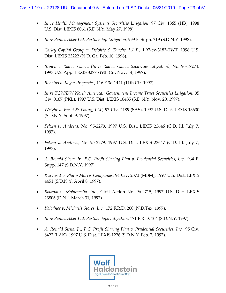- In re Health Management Systems Securities Litigation, 97 Civ. 1865 (HB), 1998 U.S. Dist. LEXIS 8061 (S.D.N.Y. May 27, 1998).
- *In re Painewebber Ltd. Partnership Litigation,* 999 F. Supp. 719 (S.D.N.Y. 1998).
- *Carley Capital Group v. Deloitte & Touche, L.L.P.,* 1:97-cv-3183-TWT, 1998 U.S. Dist. LEXIS 23222 (N.D. Ga. Feb. 10, 1998).
- *Brown v. Radica Games (In re Radica Games Securities Litigation),* No. 96-17274, 1997 U.S. App. LEXIS 32775 (9th Cir. Nov. 14, 1997).
- *Robbins v. Koger Properties,* 116 F.3d 1441 (11th Cir. 1997).
- *In re TCW/DW North American Government Income Trust Securities Litigation*, 95 Civ. 0167 (PKL), 1997 U.S. Dist. LEXIS 18485 (S.D.N.Y. Nov. 20, 1997).
- *Wright v. Ernst & Young, LLP,* 97 Civ. 2189 (SAS), 1997 U.S. Dist. LEXIS 13630 (S.D.N.Y. Sept. 9, 1997).
- *Felzen v. Andreas,* No. 95-2279, 1997 U.S. Dist. LEXIS 23646 (C.D. Ill. July 7, 1997).
- *Felzen v. Andreas,* No. 95-2279, 1997 U.S. Dist. LEXIS 23647 (C.D. Ill. July 7, 1997).
- *A. Ronald Sirna, Jr., P.C. Profit Sharing Plan v. Prudential Securities, Inc.,* 964 F. Supp. 147 (S.D.N.Y. 1997).
- *Kurzweil v. Philip Morris Companies,* 94 Civ. 2373 (MBM), 1997 U.S. Dist. LEXIS 4451 (S.D.N.Y. April 8, 1997).
- *Bobrow v. Mobilmedia, Inc.,* Civil Action No. 96-4715, 1997 U.S. Dist. LEXIS 23806 (D.N.J. March 31, 1997).
- *Kalodner v. Michaels Stores, Inc.,* 172 F.R.D. 200 (N.D.Tex. 1997).
- *In re Painewebber Ltd. Partnerships Litigation,* 171 F.R.D. 104 (S.D.N.Y. 1997).
- *A. Ronald Sirna, Jr., P.C. Profit Sharing Plan v. Prudential Securities, Inc.,* 95 Civ. 8422 (LAK), 1997 U.S. Dist. LEXIS 1226 (S.D.N.Y. Feb. 7, 1997).

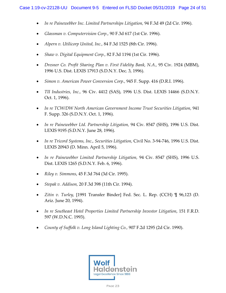- *In re Painewebber Inc. Limited Partnerships Litigation,* 94 F.3d 49 (2d Cir. 1996).
- *Glassman v. Computervision Corp.,* 90 F.3d 617 (1st Cir. 1996).
- *Alpern v. Utilicorp United, Inc.,* 84 F.3d 1525 (8th Cir. 1996).
- *Shaw v. Digital Equipment Corp.,* 82 F.3d 1194 (1st Cir. 1996).
- *Dresner Co. Profit Sharing Plan v. First Fidelity Bank, N.A.,* 95 Civ. 1924 (MBM), 1996 U.S. Dist. LEXIS 17913 (S.D.N.Y. Dec. 3, 1996).
- *Simon v. American Power Conversion Corp.,* 945 F. Supp. 416 (D.R.I. 1996).
- *TII Industries, Inc.,* 96 Civ. 4412 (SAS), 1996 U.S. Dist. LEXIS 14466 (S.D.N.Y. Oct. 1, 1996).
- In re TCW/DW North American Government Income Trust Securities Litigation, 941 F. Supp. 326 (S.D.N.Y. Oct. 1, 1996).
- In re Painewebber Ltd. Partnership Litigation, 94 Civ. 8547 (SHS), 1996 U.S. Dist. LEXIS 9195 (S.D.N.Y. June 28, 1996).
- *In re Tricord Systems, Inc., Securities Litigation,* Civil No. 3-94-746, 1996 U.S. Dist. LEXIS 20943 (D. Minn. April 5, 1996).
- *In re Painewebber Limited Partnership Litigation,* 94 Civ. 8547 (SHS), 1996 U.S. Dist. LEXIS 1265 (S.D.N.Y. Feb. 6, 1996).
- *Riley v. Simmons*, 45 F.3d 764 (3d Cir. 1995).
- *Stepak v. Addison,* 20 F.3d 398 (11th Cir. 1994).
- *Zitin v. Turley,* [1991 Transfer Binder] Fed. Sec. L. Rep. (CCH) ¶ 96,123 (D. Ariz. June 20, 1994).
- *In re Southeast Hotel Properties Limited Partnership Investor Litigation*, 151 F.R.D. 597 (W.D.N.C. 1993).
- *County of Suffolk v. Long Island Lighting Co.,* 907 F.2d 1295 (2d Cir. 1990).

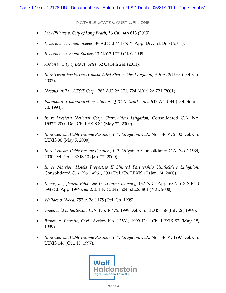Notable State Court Opinions

- *McWilliams v. City of Long Beach*, 56 Cal. 4th 613 (2013).
- *Roberts v. Tishman Speyer*, 89 A.D.3d 444 (N.Y. App. Div. 1st Dep't 2011).
- *Roberts v. Tishman Speyer*, 13 N.Y.3d 270 (N.Y. 2009).
- *Ardon v. City of Los Angeles*, 52 Cal.4th 241 (2011).
- *In re Tyson Foods, Inc., Consolidated Shareholder Litigation,* 919 A. 2d 563 (Del. Ch. 2007).
- *Naevus Int'l v. AT&T Corp.,* 283 A.D.2d 171, 724 N.Y.S.2d 721 (2001).
- *Paramount Communications, Inc. v. QVC Network, Inc.,* 637 A.2d 34 (Del. Super. Ct. 1994).
- *In re Western National Corp. Shareholders Litigation,* Consolidated C.A. No. 15927, 2000 Del. Ch. LEXIS 82 (May 22, 2000).
- *In re Cencom Cable Income Partners, L.P. Litigation, C.A. No.* 14634, 2000 Del. Ch. LEXIS 90 (May 5, 2000).
- *In re Cencom Cable Income Partners, L.P. Litigation, Consolidated C.A. No. 14634,* 2000 Del. Ch. LEXIS 10 (Jan. 27, 2000).
- *In re Marriott Hotels Properties II Limited Partnership Unitholders Litigation,*  Consolidated C.A. No. 14961, 2000 Del. Ch. LEXIS 17 (Jan. 24, 2000).
- *Romig v. Jefferson-Pilot Life Insurance Company,* 132 N.C. App. 682, 513 S.E.2d 598 (Ct. App. 1999), *aff'd*, 351 N.C. 349, 524 S.E.2d 804 (N.C. 2000).
- *Wallace v. Wood,* 752 A.2d 1175 (Del. Ch. 1999).
- *Greenwald v. Batterson,* C.A. No. 16475, 1999 Del. Ch. LEXIS 158 (July 26, 1999).
- *Brown v. Perrette,* Civil Action No. 13531, 1999 Del. Ch. LEXIS 92 (May 18, 1999).
- *In re Cencom Cable Income Partners, L.P. Litigation,* C.A. No. 14634, 1997 Del. Ch. LEXIS 146 (Oct. 15, 1997).

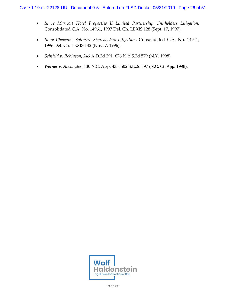- *In re Marriott Hotel Properties II Limited Partnership Unitholders Litigation,* Consolidated C.A. No. 14961, 1997 Del. Ch. LEXIS 128 (Sept. 17, 1997).
- *In re Cheyenne Software Shareholders Litigation,* Consolidated C.A. No. 14941, 1996 Del. Ch. LEXIS 142 (Nov. 7, 1996).
- *Seinfeld v. Robinson,* 246 A.D.2d 291, 676 N.Y.S.2d 579 (N.Y. 1998).
- *Werner v. Alexander,* 130 N.C. App. 435, 502 S.E.2d 897 (N.C. Ct. App. 1998).

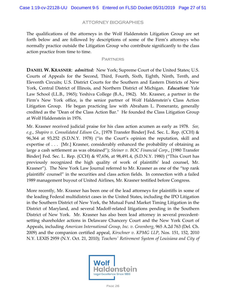## ATTORNEY BIOGRAPHIES

The qualifications of the attorneys in the Wolf Haldenstein Litigation Group are set forth below and are followed by descriptions of some of the Firm's attorneys who normally practice outside the Litigation Group who contribute significantly to the class action practice from time to time.

#### **PARTNERS**

**DANIEL W. KRASNER**: *admitted:* New York; Supreme Court of the United States; U.S. Courts of Appeals for the Second, Third, Fourth, Sixth, Eighth, Ninth, Tenth, and Eleventh Circuits; U.S. District Courts for the Southern and Eastern Districts of New York, Central District of Illinois, and Northern District of Michigan. *Education:* Yale Law School (LL.B., 1965); Yeshiva College (B.A., 1962). Mr. Krasner, a partner in the Firm's New York office, is the senior partner of Wolf Haldenstein's Class Action Litigation Group. He began practicing law with Abraham L. Pomerantz, generally credited as the "Dean of the Class Action Bar." He founded the Class Litigation Group at Wolf Haldenstein in 1976.

Mr. Krasner received judicial praise for his class action acumen as early as 1978. *See, e.g.*, *Shapiro v. Consolidated Edison Co*., [1978 Transfer Binder] Fed. Sec. L. Rep. (CCH) & 96,364 at 93,252 (S.D.N.Y. 1978) ("in the Court's opinion the reputation, skill and expertise of . . . [Mr.] Krasner, considerably enhanced the probability of obtaining as large a cash settlement as was obtained"); *Steiner v. BOC Financial Corp*., [1980 Transfer Binder] Fed. Sec. L. Rep. (CCH) & 97,656, at 98,491.4, (S.D.N.Y. 1980) ("This Court has previously recognized the high quality of work of plaintiffs' lead counsel, Mr. Krasner"). The New York Law Journal referred to Mr. Krasner as one of the "top rank plaintiffs' counsel" in the securities and class action fields. In connection with a failed 1989 management buyout of United Airlines, Mr. Krasner testified before Congress.

More recently, Mr. Krasner has been one of the lead attorneys for plaintiffs in some of the leading Federal multidistrict cases in the United States, including the IPO Litigation in the Southern District of New York, the Mutual Fund Market Timing Litigation in the District of Maryland, and several Madoff-related litigations pending in the Southern District of New York. Mr. Krasner has also been lead attorney in several precedentsetting shareholder actions in Delaware Chancery Court and the New York Court of Appeals, including *American International Group, Inc. v. Greenberg*, 965 A.2d 763 (Del. Ch. 2009) and the companion certified appeal, *Kirschner v. KPMG LLP*, Nos. 151, 152, 2010 N.Y. LEXIS 2959 (N.Y. Oct. 21, 2010); *Teachers' Retirement System of Louisiana and City of* 

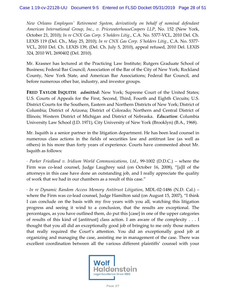*New Orleans Employees' Retirement System, derivatively on behalf of nominal defendant American International Group, Inc., v. PricewaterhouseCoopers LLP*, No. 152 (New York, October 21, 2010); *In re CNX Gas Corp. S'holders Litig.*, C.A. No. 5377-VCL, 2010 Del. Ch. LEXIS 119 (Del. Ch., May 25, 2010); *In re CNX Gas Corp. S'holders Litig.*, C.A. No. 5377- VCL, 2010 Del. Ch. LEXIS 139, (Del. Ch. July 5, 2010), appeal refused, 2010 Del. LEXIS 324, 2010 WL 2690402 (Del. 2010).

Mr. Krasner has lectured at the Practicing Law Institute; Rutgers Graduate School of Business; Federal Bar Council; Association of the Bar of the City of New York; Rockland County, New York State, and American Bar Associations; Federal Bar Council, and before numerous other bar, industry, and investor groups.

**FRED TAYLOR ISQUITH**: *admitted***:** New York; Supreme Court of the United States; U.S. Courts of Appeals for the First, Second, Third, Fourth and Eighth Circuits; U.S. District Courts for the Southern, Eastern and Northern Districts of New York; District of Columbia; District of Arizona; District of Colorado; Northern and Central District of Illinois; Western District of Michigan and District of Nebraska. *Education*: Columbia University Law School (J.D. 1971), City University of New York (Brooklyn) (B.A., 1968).

Mr. Isquith is a senior partner in the litigation department. He has been lead counsel in numerous class actions in the fields of securities law and antitrust law (as well as others) in his more than forty years of experience. Courts have commented about Mr. Isquith as follows:

· *Parker Friedland v. Iridium World Communications, Ltd.*, 99-1002 (D.D.C.) – where the Firm was co-lead counsel, Judge Laughrey said (on October 16, 2008), "[a]ll of the attorneys in this case have done an outstanding job, and I really appreciate the quality of work that we had in our chambers as a result of this case."

· *In re Dynamic Random Access Memory Antitrust Litigation*, MDL-02-1486 (N.D. Cal.) – where the Firm was co-lead counsel, Judge Hamilton said (on August 15, 2007), "I think I can conclude on the basis with my five years with you all, watching this litigation progress and seeing it wind to a conclusion, that the results are exceptional. The percentages, as you have outlined them, do put this [case] in one of the upper categories of results of this kind of [antitrust] class action. I am aware of the complexity . . . I thought that you all did an exceptionally good job of bringing to me only those matters that really required the Court's attention. You did an exceptionally good job at organizing and managing the case, assisting me in management of the case. There was excellent coordination between all the various different plaintiffs' counsel with your

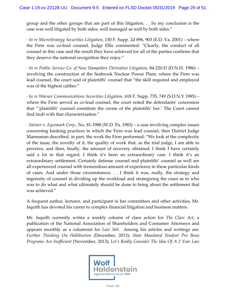group and the other groups that are part of this litigation. . . So my conclusion is the case was well litigated by both sides, well managed as well by both sides."

· *In re MicroStrategy Securities Litigation*, 150 F. Supp. 2d 896, 903 (E.D. Va. 2001) – where the Firm was co-lead counsel, Judge Ellis commented: "Clearly, the conduct of all counsel in this case and the result they have achieved for all of the parties confirms that they deserve the national recognition they enjoy."

· *In re Public Service Co. of New Hampshire Derivative Litigation*, 84-220-D (D.N.H. 1986) – involving the construction of the Seabrook Nuclear Power Plant, where the Firm was lead counsel, the court said of plaintiffs' counsel that "the skill required and employed was of the highest caliber."

· *In re Warner Communications Securities Litigation*, 618 F. Supp. 735, 749 (S.D.N.Y 1985) – where the Firm served as co-lead counsel, the court noted the defendants' concession that "'plaintiffs' counsel constitute the cream of the plaintiffs' bar.' The Court cannot find fault with that characterization."

· *Steiner v. Equimark Corp*., No. 81-1988 (W.D. Pa. 1983) – a case involving complex issues concerning banking practices in which the Firm was lead counsel, then District Judge Mannsman described, in part, the work the Firm performed: "We look at the complexity of the issue, the novelty of it, the quality of work that, as the trial judge, I am able to perceive, and then, finally, the amount of recovery obtained: I think I have certainly said a lot in that regard. I think it's been an extraordinary case. I think it's an extraordinary settlement. Certainly defense counsel and plaintiffs' counsel as well are all experienced counsel with tremendous amount of experience in these particular kinds of cases. And under those circumstances. . . I think it was, really, the strategy and ingenuity of counsel in dividing up the workload and strategizing the cases as to who was to do what and what ultimately should be done to bring about the settlement that was achieved."

A frequent author, lecturer, and participant in bar committees and other activities, Mr. Isquith has devoted his career to complex financial litigation and business matters.

Mr. Isquith currently writes a weekly column of class action for *The Class Act*, a publication of the National Association of Shareholders and Consumer Attorneys and appears monthly as a columnist for *Law 360*. Among his articles and writings are: *Further Thinking On Halliburton* (December, 2013); *State Mandated Student Pro Bono Programs Are Inefficient* (November, 2013); *Let's Really Consider The Idea Of A 2 Year Law* 

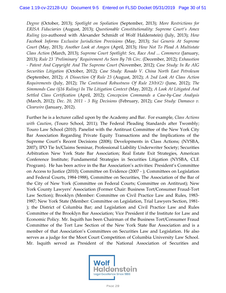*Degree* (October, 2013); *Spotlight on Spoliation* (September, 2013); *More Restrictions for ERISA Fiduciaries* (August, 2013); *Questionable Constitutionality: Supreme Court's Amex Ruling* (co-authored with Alexander Schmidt of Wolf Haldenstein) (July, 2013); *How Facebook Informs Exclusive Jurisdiction Provisions* (May, 2013); *Sui Generis At Supreme Court* (May, 2013); *Another Look at Amgen* (April, 2013); *How Not To Plead A Multistate Class Action* (March, 2013); *Supreme Court Spotlight: Sex, Race And ... Commerce* (January, 2013)*; Rule 23 'Preliminary' Requirement As Seen By 7th Circ*. (December, 2012); *Exhaustion - Patent And Copyright And The Supreme Court* (November, 2012)*; Case Study: In Re AIG Securities Litigation* (October, 2012)*; Case Study: Rosado V. China North East Petroleum* (September, 2012); *A Dissection Of Rule 23* (August, 2012); *A 2nd Look At Class Action Requirements* (July, 2012); *The Continued Robustness Of Rule 23(b)(2)* (June, 2012); *The Simmonds Case (§16 Ruling) In The Litigation Context* (May, 2012); *A Look At Litigated And Settled Class Certification* (April, 2012); *Concepcion Commands a Case-by-Case Analysis* (March, 2012); *Dec. 20, 2011 - 3 Big Decisions* (February, 2012); *Case Study: Damasco v. Clearwire* (January, 2012).

Further he is a lecturer called upon by the Academy and Bar. For example, *Class Actions with Caution*, (Touro School, 2011); The Federal Pleading Standards after Twombly; Touro Law School (2010). Panelist with the Antitrust Committee of the New York City Bar Association Regarding Private Equity Transactions and the Implications of the Supreme Court's Recent Decisions (2008); Developments in Class Actions; (NYSBA, 2007); IPO Tie In/Claims Seminar, Professional Liability Underwriter Society; Securities Arbitration New York State Bar Association; Real Estate Exit Strategies, American Conference Institute; Fundamental Strategies in Securities Litigation (NYSBA, CLE Program). He has been active in the Bar Association's activities: President's Committee on Access to Justice (2010); Committee on Evidence (2007 - ); Committees on Legislation and Federal Courts, 1984-1988), Committee on Securities, The Association of the Bar of the City of New York (Committee on Federal Courts; Committee on Antitrust); New York County Lawyers' Association (Former Chair: Business Tort/Consumer Fraud-Tort Law Section); Brooklyn (Member: Committee on Civil Practice Law and Rules, 1983- 1987; New York State (Member: Committee on Legislation, Trial Lawyers Section, 1981- ); the District of Columbia Bar; and Legislation and Civil Practice Law and Rules Committee of the Brooklyn Bar Association; Vice President if the Institute for Law and Economic Policy. Mr. Isquith has been Chairman of the Business Tort/Consumer Fraud Committee of the Tort Law Section of the New York State Bar Association and is a member of that Association's Committees on Securities Law and Legislation. He also serves as a judge for the Moot Court Competition of Columbia University Law School. Mr. Isquith served as President of the National Association of Securities and

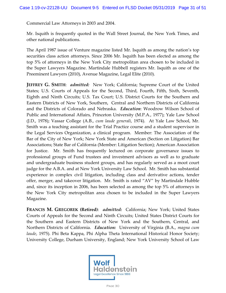Commercial Law Attorneys in 2003 and 2004.

Mr. Isquith is frequently quoted in the Wall Street Journal, the New York Times, and other national publications.

The April 1987 issue of Venture magazine listed Mr. Isquith as among the nation's top securities class action attorneys. Since 2006 Mr. Isquith has been elected as among the top 5% of attorneys in the New York City metropolitan area chosen to be included in the Super Lawyers Magazine. Martindale Hubbell registers Mr. Isquith as one of the Preeminent Lawyers (2010), Avenue Magazine, Legal Elite (2010).

**JEFFREY G. SMITH**: *admitted:* New York; California; Supreme Court of the United States; U.S. Courts of Appeals for the Second, Third, Fourth, Fifth, Sixth, Seventh, Eighth and Ninth Circuits; U.S. Tax Court; U.S. District Courts for the Southern and Eastern Districts of New York, Southern, Central and Northern Districts of California and the Districts of Colorado and Nebraska. *Education*: Woodrow Wilson School of Public and International Affairs, Princeton University (M.P.A., 1977); Yale Law School (J.D., 1978); Vassar College (A.B., *cum laude generali*, 1974). At Yale Law School, Mr. Smith was a teaching assistant for the Trial Practice course and a student supervisor in the Legal Services Organization, a clinical program. Member: The Association of the Bar of the City of New York; New York State and American (Section on Litigation) Bar Associations; State Bar of California (Member: Litigation Section); American Association for Justice. Mr. Smith has frequently lectured on corporate governance issues to professional groups of Fund trustees and investment advisors as well as to graduate and undergraduate business student groups, and has regularly served as a moot court judge for the A.B.A. and at New York University Law School. Mr. Smith has substantial experience in complex civil litigation, including class and derivative actions, tender offer, merger, and takeover litigation. Mr. Smith is rated "AV" by Martindale Hubble and, since its inception in 2006, has been selected as among the top 5% of attorneys in the New York City metropolitan area chosen to be included in the Super Lawyers Magazine.

**FRANCIS M. GREGOREK (Retired)**: *admitted:* California; New York; United States Courts of Appeals for the Second and Ninth Circuits; United States District Courts for the Southern and Eastern Districts of New York and the Southern, Central, and Northern Districts of California. *Education:* University of Virginia (B.A., *magna cum laude*, 1975). Phi Beta Kappa, Phi Alpha Theta International Historical Honor Society; University College, Durham University, England; New York University School of Law

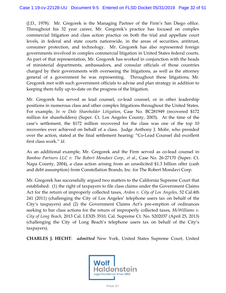(J.D., 1978). Mr. Gregorek is the Managing Partner of the Firm's San Diego office. Throughout his 32 year career, Mr. Gregorek's practice has focused on complex commercial litigation and class action practice on both the trial and appellate court levels, in federal and state courts nationwide, in the areas of securities, antitrust, consumer protection, and technology. Mr. Gregorek has also represented foreign governments involved in complex commercial litigation in United States federal courts. As part of that representation, Mr. Gregorek has worked in conjunction with the heads of ministerial departments, ambassadors, and consular officials of those countries charged by their governments with overseeing the litigations, as well as the attorney general of a government he was representing. Throughout these litigations, Mr. Gregorek met with such government officials to advise and plan strategy in addition to keeping them fully up-to-date on the progress of the litigation.

Mr. Gregorek has served as lead counsel, co-lead counsel, or in other leadership positions in numerous class and other complex litigations throughout the United States. For example, *In re Dole Shareholder Litigation*, Case No. BC281949 (recovered \$172 million for shareholders) (Super. Ct. Los Angeles County, 2003). At the time of the case's settlement, the \$172 million recovered for the class was one of the top 10 recoveries ever achieved on behalf of a class. Judge Anthony J. Mohr, who presided over the action, stated at the final settlement hearing: "Co-Lead Counsel did excellent first class work." *Id*.

As an additional example, Mr. Gregorek and the Firm served as co-lead counsel in *Bamboo Partners LLC v. The Robert Mondavi Corp., et al*., Case No. 26-27170 (Super. Ct. Napa County, 2004), a class action arising from an unsolicited \$1.3 billion offer (cash and debt assumption) from Constellation Brands, Inc. for The Robert Mondavi Corp.

Mr. Gregorek has successfully argued two matters to the California Supreme Court that established: (1) the right of taxpayers to file class claims under the Government Claims Act for the return of improperly collected taxes, *Ardon v. City of Los Angeles*, 52 Cal.4th 241 (2011) (challenging the City of Los Angeles' telephone users tax on behalf of the City's taxpayers) and (2) the Government Claims Act's pre-emption of ordinances seeking to bar class actions for the return of improperly collected taxes, *McWilliams v. City of Long Beach*, 2013 Cal. LEXIS 3510, Cal. Supreme Ct. No. S202037 (April 25, 2013) (challenging the City of Long Beach's telephone users tax on behalf of the City's taxpayers).

**CHARLES J. HECHT**: *admitted* New York, United States Supreme Court, United

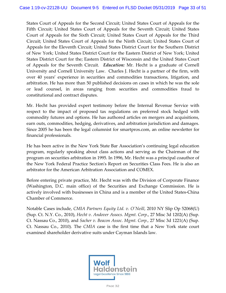States Court of Appeals for the Second Circuit; United States Court of Appeals for the Fifth Circuit; United States Court of Appeals for the Seventh Circuit; United States Court of Appeals for the Sixth Circuit; United States Court of Appeals for the Third Circuit; United States Court of Appeals for the Ninth Circuit; United States Court of Appeals for the Eleventh Circuit; United States District Court for the Southern District of New York; United States District Court for the Eastern District of New York; United States District Court for the; Eastern District of Wisconsin and the United States Court of Appeals for the Seventh Circuit. *Education:* Mr. Hecht is a graduate of Cornell University and Cornell University Law. Charles J. Hecht is a partner of the firm, with over 40 years' experience in securities and commodities transactions, litigation, and arbitration. He has more than 50 published decisions on cases in which he was the sole or lead counsel, in areas ranging from securities and commodities fraud to constitutional and contract disputes.

Mr. Hecht has provided expert testimony before the Internal Revenue Service with respect to the impact of proposed tax regulations on preferred stock hedged with commodity futures and options. He has authored articles on mergers and acquisitions, earn outs, commodities, hedging, derivatives, and arbitration jurisdiction and damages. Since 2005 he has been the legal columnist for smartpros.com, an online newsletter for financial professionals.

He has been active in the New York State Bar Association's continuing legal education program, regularly speaking about class actions and serving as the Chairman of the program on securities arbitration in 1995. In 1996, Mr. Hecht was a principal coauthor of the New York Federal Practice Section's Report on Securities Class Fees. He is also an arbitrator for the American Arbitration Association and COMEX.

Before entering private practice, Mr. Hecht was with the Division of Corporate Finance (Washington, D.C. main office) of the Securities and Exchange Commission. He is actively involved with businesses in China and is a member of the United States-China Chamber of Commerce.

Notable Cases include, *CMIA Partners Equity Ltd. v. O'Neill*, 2010 NY Slip Op 52068(U) (Sup. Ct. N.Y. Co., 2010), *Hecht v. Andover Assocs. Mgmt. Corp*., 27 Misc 3d 1202(A) (Sup. Ct. Nassau Co., 2010), and *Sacher v. Beacon Assoc. Mgmt. Corp.,* 27 Misc 3d 1221(A) (Sup. Ct. Nassau Co., 2010). The *CMIA* case is the first time that a New York state court examined shareholder derivative suits under Cayman Islands law.

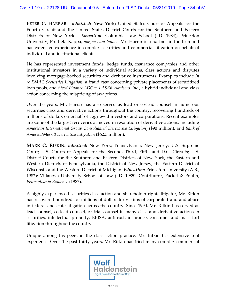**PETER C. HARRAR**: *admitted***; New York;** United States Court of Appeals for the Fourth Circuit and the United States District Courts for the Southern and Eastern Districts of New York. *Education*: Columbia Law School (J.D. 1984); Princeton University, Phi Beta Kappa, *magna cum laude.* Mr. Harrar is a partner in the firm and has extensive experience in complex securities and commercial litigation on behalf of individual and institutional clients.

He has represented investment funds, hedge funds, insurance companies and other institutional investors in a variety of individual actions, class actions and disputes involving mortgage-backed securities and derivative instruments. Examples include *In re EMAC Securities Litigation*, a fraud case concerning private placements of securitized loan pools, and *Steed Finance LDC v. LASER Advisors, Inc.*, a hybrid individual and class action concerning the mispricing of swaptions.

Over the years, Mr. Harrar has also served as lead or co-lead counsel in numerous securities class and derivative actions throughout the country, recovering hundreds of millions of dollars on behalf of aggrieved investors and corporations. Recent examples are some of the largest recoveries achieved in resolution of derivative actions, including *American International Group Consolidated Derivative Litigation*) (\$90 million), and *Bank of America/Merrill Derivative Litigation* (\$62.5 million).

**MARK C. RIFKIN:** *admitted:* New York; Pennsylvania; New Jersey; U.S. Supreme Court; U.S. Courts of Appeals for the Second, Third, Fifth, and D.C. Circuits; U.S. District Courts for the Southern and Eastern Districts of New York, the Eastern and Western Districts of Pennsylvania, the District of New Jersey, the Eastern District of Wisconsin and the Western District of Michigan. *Education:* Princeton University (A.B., 1982); Villanova University School of Law (J.D. 1985). Contributor, Packel & Poulin, *Pennsylvania Evidence* (1987).

A highly experienced securities class action and shareholder rights litigator, Mr. Rifkin has recovered hundreds of millions of dollars for victims of corporate fraud and abuse in federal and state litigation across the country. Since 1990, Mr. Rifkin has served as lead counsel, co-lead counsel, or trial counsel in many class and derivative actions in securities, intellectual property, ERISA, antitrust, insurance, consumer and mass tort litigation throughout the country.

Unique among his peers in the class action practice, Mr. Rifkin has extensive trial experience. Over the past thirty years, Mr. Rifkin has tried many complex commercial

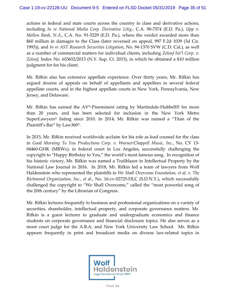actions in federal and state courts across the country in class and derivative actions, including *In re National Media Corp. Derivative Litig.*, C.A. 90-7574 (E.D. Pa.), *Upp v. Mellon Bank, N.A.*, C.A. No. 91-5229 (E.D. Pa.), where the verdict awarded more than \$60 million in damages to the Class (later reversed on appeal, 997 F.2d 1039 (3d Cir. 1993)), and *In re AST Research Securities Litigation*, No. 94-1370 SVW (C.D. Cal.), as well as a number of commercial matters for individual clients, including *Zelouf Int'l Corp. v. Zelouf*, Index No. 653652/2013 (N.Y. Sup. Ct. 2015), in which he obtained a \$10 million judgment for for his client.

Mr. Rifkin also has extensive appellate experience. Over thirty years, Mr. Rifkin has argued dozens of appeals on behalf of appellants and appellees in several federal appellate courts, and in the highest appellate courts in New York, Pennsylvania, New Jersey, and Delaware.

Mr. Rifkin has earned the AV®-Preeminent rating by Martindale-Hubbell® for more than 20 years, and has been selected for inclusion in the New York Metro SuperLawyers® listing since 2010. In 2014, Mr. Rifkin was named a "Titan of the Plaintiff's Bar" by Law360®.

In 2015, Mr. Rifkin received worldwide acclaim for his role as lead counsel for the class in *Good Morning To You Productions Corp. v. Warner/Chappell Music, Inc.*, No. CV 13- 04460-GHK (MRWx), in federal court in Los Angeles, successfully challenging the copyright to "Happy Birthday to You," the world's most famous song. In recognition of his historic victory, Mr. Rifkin was named a Trailblazer in Intellectual Property by the National Law Journal in 2016. In 2018, Mr. Rifkin led a team of lawyers from Wolf Haldenstein who represented the plaintiffs in *We Shall Overcome Foundation, et al. v. The Richmond Organization, Inc., et al.*, No. 16-cv-02725-DLC (S.D.N.Y.), which successfully challenged the copyright to "We Shall Overcome," called the "most powerful song of the 20th century" by the Librarian of Congress.

Mr. Rifkin lectures frequently to business and professional organizations on a variety of securities, shareholder, intellectual property, and corporate governance matters. Mr. Rifkin is a guest lecturer to graduate and undergraduate economics and finance students on corporate governance and financial disclosure topics. He also serves as a moot court judge for the A.B.A. and New York University Law School. Mr. Rifkin appears frequently in print and broadcast media on diverse law-related topics in

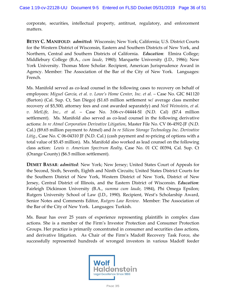corporate, securities, intellectual property, antitrust, regulatory, and enforcement matters.

**BETSY C. MANIFOLD**: *admitted***:** Wisconsin; New York; California; U.S. District Courts for the Western District of Wisconsin, Eastern and Southern Districts of New York, and Northern, Central and Southern Districts of California. *Education*: Elmira College; Middlebury College (B.A., *cum laude*, 1980); Marquette University (J.D., 1986); New York University. Thomas More Scholar. Recipient, American Jurisprudence Award in Agency. Member: The Association of the Bar of the City of New York. Languages: French.

Ms. Manifold served as co-lead counsel in the following cases to recovery on behalf of employees: *Miguel Garcia, et al. v. Lowe's Home Center, Inc. et al.* – Case No. GIC 841120 (Barton) (Cal. Sup. Ct, San Diego) (\$1.65 million settlement w/ average class member recovery of \$5,500, attorney fees and cost awarded separately) and *Neil Weinstein, et al. v. MetLife, Inc., et al.* – Case No. 3:06-cv-04444-SI (N.D. Cal) (\$7.4 million settlement). Ms. Manifold also served as co-lead counsel in the following derivative actions: *In re Atmel Corporation Derivative Litigation*, Master File No. CV 06-4592-JF (N.D. Cal.) (\$9.65 million payment to Atmel) and *In re Silicon Storage Technology Inc. Derivative Litig.*, Case No. C 06-04310 JF (N.D. Cal.) (cash payment and re-pricing of options with a total value of \$5.45 million). Ms. Manifold also worked as lead counsel on the following class action: *Lewis v. American Spectrum Realty,* Case No. 01 CC 00394, Cal. Sup. Ct (Orange County) (\$6.5 million settlement).

**DEMET BASAR**: *admitted*: New York; New Jersey; United States Court of Appeals for the Second, Sixth, Seventh, Eighth and Ninth Circuits; United States District Courts for the Southern District of New York, Western District of New York, District of New Jersey, Central District of Illinois, and the Eastern District of Wisconsin. *Education*: Fairleigh Dickinson University (B.A., *summa cum laude*, 1984), Phi Omega Epsilon; Rutgers University School of Law (J.D., 1990). Recipient, West's Scholarship Award, Senior Notes and Comments Editor, *Rutgers Law Review*. Member: The Association of the Bar of the City of New York. Languages: Turkish.

Ms. Basar has over 25 years of experience representing plaintiffs in complex class actions. She is a member of the Firm's Investor Protection and Consumer Protection Groups. Her practice is primarily concentrated in consumer and securities class actions, and derivative litigation. As Chair of the Firm's Madoff Recovery Task Force, she successfully represented hundreds of wronged investors in various Madoff feeder

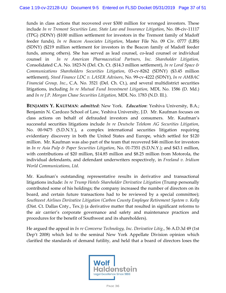funds in class actions that recovered over \$300 million for wronged investors. These include *In re Tremont Securities Law, State Law and Insurance Litigation*, No. 08-civ-11117 (TPG) (SDNY) (\$100 million settlement for investors in the Tremont family of Madoff feeder funds), *In re Beacon Associates Litigation*, Master File No. 09 Civ. 0777 (LBS) (SDNY) (\$219 million settlement for investors in the Beacon family of Madoff feeder funds, among others). She has served as lead counsel, co-lead counsel or individual counsel in *In re American Pharmaceutical Partners, Inc. Shareholder Litigation,* Consolidated C.A. No. 1823-N (Del. Ch. Ct. (\$14.3 million settlement), *In re Loral Space & Communications Shareholders Securities Litigation*, 03-cv-8262 (SDNY) (\$3.45 million settlement), *Steed Finance LDC v. LASER Advisors*, No. 99-cv-4222 (SDNY), *In re AMBAC Financial Group, Inc.*, C.A. No. 3521 (Del. Ch. Ct.), and several multidistrict securities litigations, including *In re Mutual Fund Investment Litigation,* MDL No. 1586 (D. Md.) and *In re J.P. Morgan Chase Securities Litigation,* MDL No. 1783 (N.D. Ill.).

**BENJAMIN Y. KAUFMAN**: *admitted***:** New York. *Education*: Yeshiva University, B.A.; Benjamin N. Cardozo School of Law, Yeshiva University, J.D. Mr. Kaufman focuses on class actions on behalf of defrauded investors and consumers. Mr. Kaufman's successful securities litigations include *In re Deutsche Telekom AG Securities Litigation*, No. 00-9475 (S.D.N.Y.), a complex international securities litigation requiring evidentiary discovery in both the United States and Europe, which settled for \$120 million. Mr. Kaufman was also part of the team that recovered \$46 million for investors in *In re Asia Pulp & Paper Securities Litigation*, No. 01-7351 (S.D.N.Y.); and \$43.1 million, with contributions of \$20 million, \$14.85 million and \$8.25 million from Motorola, the individual defendants, and defendant underwriters respectively, in *Freeland v. Iridium World Communications, Ltd*.

Mr. Kaufman's outstanding representative results in derivative and transactional litigations include: *In re Trump Hotels Shareholder Derivative Litigation* (Trump personally contributed some of his holdings; the company increased the number of directors on its board, and certain future transactions had to be reviewed by a special committee); *Southwest Airlines Derivative Litigation (Carbon County Employee Retirement System v. Kelly* (Dist. Ct. Dallas Cnty., Tex.)) (a derivative matter that resulted in significant reforms to the air carrier's corporate governance and safety and maintenance practices and procedures for the benefit of Southwest and its shareholders).

He argued the appeal in *In re Comverse Technology, Inc. Derivative Litig.*, 56 A.D.3d 49 (1st Dep't 2008) which led to the seminal New York Appellate Division opinion which clarified the standards of demand futility, and held that a board of directors loses the

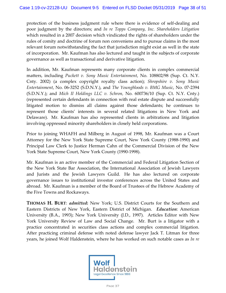protection of the business judgment rule where there is evidence of self-dealing and poor judgment by the directors; and *In re Topps Company, Inc. Shareholders Litigation*  which resulted in a 2007 decision which vindicated the rights of shareholders under the rules of comity and doctrine of forum non conveniens and to pursue claims in the most relevant forum notwithstanding the fact that jurisdiction might exist as well in the state of incorporation. Mr. Kaufman has also lectured and taught in the subjects of corporate governance as well as transactional and derivative litigation.

In addition, Mr. Kaufman represents many corporate clients in complex commercial matters, including *Puckett v. Sony Music Entertainment*, No. 108802/98 (Sup. Ct. N.Y. Cnty. 2002) (a complex copyright royalty class action); *Shropshire v. Sony Music Entertainment*, No. 06-3252 (S.D.N.Y.), and *The Youngbloods v. BMG Music*, No. 07-2394 (S.D.N.Y.); and *Mich II Holdings LLC v. Schron,* No. 600736/10 (Sup. Ct. N.Y. Cnty.) (represented certain defendants in connection with real estate dispute and successfully litigated motion to dismiss all claims against those defendants; he continues to represent those clients' interests in several related litigations in New York and Delaware). Mr. Kaufman has also represented clients in arbitrations and litigation involving oppressed minority shareholders in closely held corporations.

Prior to joining WHAFH and Milberg in August of 1998, Mr. Kaufman was a Court Attorney for the New York State Supreme Court, New York County (1988-1990) and Principal Law Clerk to Justice Herman Cahn of the Commercial Division of the New York State Supreme Court, New York County (1990-1998).

Mr. Kaufman is an active member of the Commercial and Federal Litigation Section of the New York State Bar Association, the International Association of Jewish Lawyers and Jurists and the Jewish Lawyers Guild. He has also lectured on corporate governance issues to institutional investor conferences across the United States and abroad. Mr. Kaufman is a member of the Board of Trustees of the Hebrew Academy of the Five Towns and Rockaways.

**THOMAS H. BURT**: *admitted***:** New York; U.S. District Courts for the Southern and Eastern Districts of New York, Eastern District of Michigan. *Education*: American University (B.A., 1993); New York University (J.D., 1997). Articles Editor with New York University Review of Law and Social Change. Mr. Burt is a litigator with a practice concentrated in securities class actions and complex commercial litigation. After practicing criminal defense with noted defense lawyer Jack T. Litman for three years, he joined Wolf Haldenstein, where he has worked on such notable cases as *In re* 

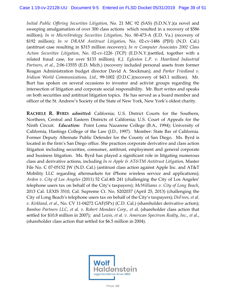*Initial Public Offering Securities Litigation*, No. 21 MC 92 (SAS) (S.D.N.Y.)(a novel and sweeping amalgamation of over 300 class actions which resulted in a recovery of \$586 million); *In re MicroStrategy Securities Litigation*, No. 00-473-A (E.D. Va.) (recovery of \$192 million); *In re DRAM Antitrust Litigation*, No. 02-cv-1486 (PJH) (N.D. Cal.) (antitrust case resulting in \$315 million recovery); *In re Computer Associates 2002 Class Action Securities Litigation*, No. 02-cv-1226 (TCP) (E.D.N.Y.)(settled, together with a related fraud case, for over \$133 million); *K.J. Egleston L.P. v. Heartland Industrial Partners, et al.*, 2:06-13555 (E.D. Mich.) (recovery included personal assets from former Reagan Administration budget director David A. Stockman); and *Parker Friedland v. Iridium World Communications, Ltd.,* 99-1002 (D.D.C.)(recovery of \$43.1 million). Mr. Burt has spoken on several occasions to investor and activist groups regarding the intersection of litigation and corporate social responsibility. Mr. Burt writes and speaks on both securities and antitrust litigation topics. He has served as a board member and officer of the St. Andrew's Society of the State of New York, New York's oldest charity.

**RACHELE R. BYRD:** *admitted:* California; U.S. District Courts for the Southern, Northern, Central and Eastern Districts of California; U.S. Court of Appeals for the Ninth Circuit. *Education:* Point Loma Nazarene College (B.A., 1994); University of California, Hastings College of the Law (J.D., 1997). Member: State Bar of California. Former Deputy Alternate Public Defender for the County of San Diego. Ms. Byrd is located in the firm's San Diego office. She practices corporate derivative and class action litigation including securities, consumer, antitrust, employment and general corporate and business litigation. Ms. Byrd has played a significant role in litigating numerous class and derivative actions, including *In re Apple & AT&TM Antitrust Litigation*, Master File No. C 07-05152 JW (N.D. Cal.) (antitrust class action against Apple Inc. and AT&T Mobility LLC regarding aftermarkets for iPhone wireless service and applications); *Ardon v. City of Los Angeles* (2011) 52 Cal.4th 241 (challenging the City of Los Angeles' telephone users tax on behalf of the City's taxpayers); *McWilliams v. City of Long Beach*, 2013 Cal. LEXIS 3510, Cal. Supreme Ct. No. S202037 (April 25, 2013) (challenging the City of Long Beach's telephone users tax on behalf of the City's taxpayers); *DeFrees, et al. v. Kirkland, et al*., No. CV 11-04272 GAF(SPx) (C.D. Cal.) (shareholder derivative action); *Bamboo Partners LLC, et al. v. Robert Mondavi Corp., et a*l. (shareholder class action that settled for \$10.8 million in 2007); and *Lewis, et al. v. American Spectrum Realty, Inc., et al*., (shareholder class action that settled for \$6.5 million in 2004).

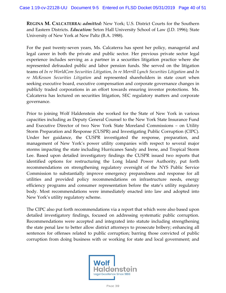**REGINA M. CALCATERRA:** *admitted:* New York; U.S. District Courts for the Southern and Eastern Districts. *Education:* Seton Hall University School of Law (J.D. 1996); State University of New York at New Paltz (B.A. 1988).

For the past twenty-seven years, Ms. Calcaterra has spent her policy, managerial and legal career in both the private and public sector. Her previous private sector legal experience includes serving as a partner in a securities litigation practice where she represented defrauded public and labor pension funds. She served on the litigation teams of *In re WorldCom Securities Litigation*, *In re Merrill Lynch Securities Litigation* and *In re McKesson Securities Litigation* and represented shareholders in state court when seeking executive board, executive compensation and corporate governance changes in publicly traded corporations in an effort towards ensuring investor protections. Ms. Calcaterra has lectured on securities litigation, SEC regulatory matters and corporate governance.

Prior to joining Wolf Haldenstein she worked for the State of New York in various capacities including as Deputy General Counsel to the New York State Insurance Fund and Executive Director of two New York State Moreland Commissions – on Utility Storm Preparation and Response (CUSPR) and Investigating Public Corruption (CIPC). Under her guidance, the CUSPR investigated the response, preparation, and management of New York's power utility companies with respect to several major storms impacting the state including Hurricanes Sandy and Irene, and Tropical Storm Lee. Based upon detailed investigatory findings the CUSPR issued two reports that identified options for restructuring the Long Island Power Authority, put forth recommendations on strengthening regulatory oversight of the NYS Public Service Commission to substantially improve emergency preparedness and response for all utilities and provided policy recommendations on infrastructure needs, energy efficiency programs and consumer representation before the state's utility regulatory body. Most recommendations were immediately enacted into law and adopted into New York's utility regulatory scheme.

The CIPC also put forth recommendations via a report that which were also based upon detailed investigatory findings, focused on addressing systematic public corruption. Recommendations were accepted and integrated into statute including strengthening the state penal law to better allow district attorneys to prosecute bribery; enhancing all sentences for offenses related to public corruption; barring those convicted of public corruption from doing business with or working for state and local government; and

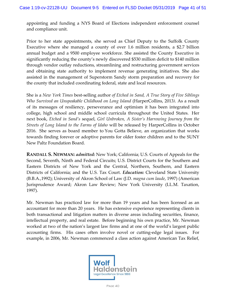appointing and funding a NYS Board of Elections independent enforcement counsel and compliance unit.

Prior to her state appointments, she served as Chief Deputy to the Suffolk County Executive where she managed a county of over 1.6 million residents, a \$2.7 billion annual budget and a 9500 employee workforce. She assisted the County Executive in significantly reducing the county's newly discovered \$530 million deficit to \$140 million through vendor outlay reductions, streamlining and restructuring government services and obtaining state authority to implement revenue generating initiatives. She also assisted in the management of Superstorm Sandy storm preparation and recovery for the county that included coordinating federal, state and local resources.

She is a *New York Times* best-selling author *of Etched in Sand, A True Story of Five Siblings Who Survived an Unspeakable Childhood on Long Island* (HarperCollins, 2013*)*. As a result of its messages of resiliency, perseverance and optimism it has been integrated into college, high school and middle school curricula throughout the United States. Her next book, *Etched in Sand's* sequel, *Girl Unbroken, A Sister's Harrowing Journey from the Streets of Long Island to the Farms of Idaho* will be released by HarperCollins in October 2016. She serves as board member to You Gotta Believe, an organization that works towards finding forever or adoptive parents for older foster children and to the SUNY New Paltz Foundation Board.

**RANDALL S. NEWMAN:** *admitted:* New York; California; U.S. Courts of Appeals for the Second, Seventh, Ninth and Federal Circuits; U.S. District Courts for the Southern and Eastern Districts of New York and the Central, Northern, Southern, and Eastern Districts of California; and the U.S. Tax Court. *Education:* Cleveland State University (B.B.A.,1992); University of Akron School of Law (J.D. *magna cum laude*, 1997) (American Jurisprudence Award; Akron Law Review; New York University (LL.M. Taxation, 1997).

Mr. Newman has practiced law for more than 19 years and has been licensed as an accountant for more than 20 years. He has extensive experience representing clients in both transactional and litigation matters in diverse areas including securities, finance, intellectual property, and real estate. Before beginning his own practice, Mr. Newman worked at two of the nation's largest law firms and at one of the world's largest public accounting firms. His cases often involve novel or cutting-edge legal issues. For example, in 2006, Mr. Newman commenced a class action against American Tax Relief,

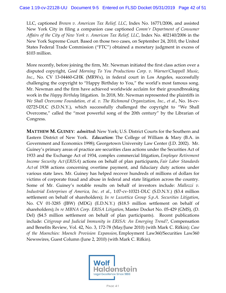LLC, captioned *Brown v. American Tax Relief, LLC*, Index No. 16771/2006, and assisted New York City in filing a companion case captioned *Comm'r Department of Consumer Affairs of the City of New York v. American Tax Relief, LLC*, Index No. 402140/2006 in the New York Supreme Court. Based on those two cases, on September 24, 2010, the United States Federal Trade Commission ("FTC") obtained a monetary judgment in excess of \$103 million.

More recently, before joining the firm, Mr. Newman initiated the first class action over a disputed copyright, *Good Morning To You Productions Corp. v. Warner/Chappell Music, Inc.*, No. CV 13-04460-GHK (MRWx), in federal court in Los Angeles, successfully challenging the copyright to "Happy Birthday to You," the world's most famous song. Mr. Newman and the firm have achieved worldwide acclaim for their groundbreaking work in the *Happy Birthday* litigation. In 2018, Mr. Newman represented the plaintiffs in *We Shall Overcome Foundation, et al. v. The Richmond Organization, Inc., et al.*, No. 16-cv-02725-DLC (S.D.N.Y.), which successfully challenged the copyright to "We Shall Overcome," called the "most powerful song of the 20th century" by the Librarian of Congress.

**MATTHEW M. GUINEY**: *admitted:* New York; U.S. District Courts for the Southern and Eastern District of New York. *Education***:** The College of William & Mary (B.A. in Government and Economics 1998); Georgetown University Law Center (J.D. 2002). Mr. Guiney's primary areas of practice are securities class actions under the Securities Act of 1933 and the Exchange Act of 1934, complex commercial litigation, *Employee Retirement Income Security Act* (*ERISA*) actions on behalf of plan participants, *Fair Labor Standards Act* of 1938 actions concerning overtime payment, and fiduciary duty actions under various state laws. Mr. Guiney has helped recover hundreds of millions of dollars for victims of corporate fraud and abuse in federal and state litigation across the country. Some of Mr. Guiney's notable results on behalf of investors include: *Mallozzi v. Industrial Enterprises of America, Inc. et al*., 1:07-cv-10321-DLC (S.D.N.Y.) (\$3.4 million settlement on behalf of shareholders); *In re Luxottica Group S.p.A. Securities Litigation*, No. CV 01-3285 (JBW) (MDG) (E.D.N.Y.) (\$18.5 million settlement on behalf of shareholders); *In re MBNA Corp. ERISA Litigation,* Master Docket No. 05-429 (GMS), (D. Del) (\$4.5 million settlement on behalf of plan participants). Recent publications include: *Citigroup and Judicial Immunity in ERISA: An Emerging Trend?*, Compensation and Benefits Review, Vol. 42, No. 3, 172-78 (May/June 2010) (with Mark C. Rifkin); *Case of the Moenchies: Moench Provision Expansion,* Employment Law360/Securities Law360 Newswires, Guest Column (June 2, 2010) (with Mark C. Rifkin).

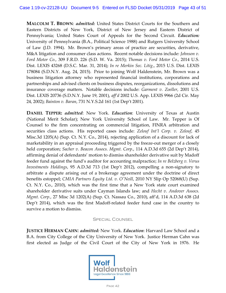**MALCOLM T. BROWN**: *admitted:* United States District Courts for the Southern and Eastern Districts of New York, District of New Jersey and Eastern District of Pennsylvania; United States Court of Appeals for the Second Circuit. *Education:* University of Pennsylvania (B.A., Political Science 1988) and Rutgers University School of Law (J.D. 1994). Mr. Brown's primary areas of practice are securities, derivative, M&A litigation and consumer class actions. Recent notable decisions include: *Johnson v. Ford Motor Co.*, 309 F.R.D. 226 (S.D. W. Va. 2015); *Thomas v. Ford Motor Co.*, 2014 U.S. Dist. LEXIS 43268 (D.S.C. Mar. 31, 2014); *In re Merkin Sec. Litig*., 2015 U.S. Dist. LEXIS 178084 (S.D.N.Y. Aug. 24, 2015). Prior to joining Wolf Haldenstein, Mr. Brown was a business litigation attorney who represented financial institutions, corporations and partnerships and advised clients on business disputes, reorganizations, dissolutions and insurance coverage matters. Notable decisions include: *Garment v. Zoeller*, 2001 U.S. Dist. LEXIS 20736 (S.D.N.Y. June 19, 2001), *aff'd* 2002 U.S. App. LEXIS 9966 (2d Cir. May 24, 2002); *Bainton v. Baran*, 731 N.Y.S.2d 161 (1st Dep't 2001).

**DANIEL TEPPER:** *admitted*: New York. *Education*: University of Texas at Austin (National Merit Scholar); New York University School of Law. Mr. Tepper is Of Counsel to the firm concentrating on commercial litigation, FINRA arbitration and securities class actions. His reported cases include: *Zelouf Int'l Corp. v. Zelouf*, 45 Misc.3d 1205(A) (Sup. Ct. N.Y. Co., 2014), rejecting application of a discount for lack of marketability in an appraisal proceeding triggered by the freeze-out merger of a closely held corporation; *Sacher v. Beacon Assocs. Mgmt. Corp.*, 114 A.D.3d 655 (2d Dep't 2014), affirming denial of defendants' motion to dismiss shareholder derivative suit by Madoff feeder fund against the fund's auditor for accounting malpractice; *In re Belzberg v. Verus Investments Holdings*, 95 A.D.3d 713 (1st Dep't 2012), compelling a non-signatory to arbitrate a dispute arising out of a brokerage agreement under the doctrine of direct benefits estoppel; *CMIA Partners Equity Ltd. v. O'Neill*, 2010 NY Slip Op 52068(U) (Sup. Ct. N.Y. Co., 2010), which was the first time that a New York state court examined shareholder derivative suits under Cayman Islands law; and *Hecht v. Andover Assocs. Mgmt. Corp.*, 27 Misc 3d 1202(A) (Sup. Ct. Nassau Co., 2010), aff'd, 114 A.D.3d 638 (2d Dep't 2014), which was the first Madoff-related feeder fund case in the country to survive a motion to dismiss.

## Special Counsel

**JUSTICE HERMAN CAHN**: *admitted:* New York. *Education*: Harvard Law School and a B.A. from City College of the City University of New York. Justice Herman Cahn was first elected as Judge of the Civil Court of the City of New York in 1976. He

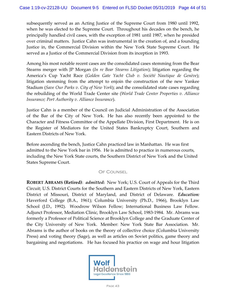subsequently served as an Acting Justice of the Supreme Court from 1980 until 1992, when he was elected to the Supreme Court. Throughout his decades on the bench, he principally handled civil cases, with the exception of 1981 until 1987, when he presided over criminal matters. Justice Cahn was instrumental in the creation of, and a founding Justice in, the Commercial Division within the New York State Supreme Court. He served as a Justice of the Commercial Division from its inception in 1993.

Among his most notable recent cases are the consolidated cases stemming from the Bear Stearns merger with JP Morgan (*In re Bear Stearns Litigation*); litigation regarding the America's Cup Yacht Race (*Golden Gate Yacht Club v. Société Nautique de Genève*); litigation stemming from the attempt to enjoin the construction of the new Yankee Stadium (*Save Our Parks v. City of New York*); and the consolidated state cases regarding the rebuilding of the World Trade Center site (*World Trade Center Properties v. Alliance Insurance; Port Authority v. Alliance Insurance*).

Justice Cahn is a member of the Council on Judicial Administration of the Association of the Bar of the City of New York. He has also recently been appointed to the Character and Fitness Committee of the Appellate Division, First Department. He is on the Register of Mediators for the United States Bankruptcy Court, Southern and Eastern Districts of New York.

Before ascending the bench, Justice Cahn practiced law in Manhattan. He was first admitted to the New York bar in 1956. He is admitted to practice in numerous courts, including the New York State courts, the Southern District of New York and the United States Supreme Court.

# OF COUNSEL.

**ROBERT ABRAMS (Retired)**: *admitted***:** New York; U.S. Court of Appeals for the Third Circuit; U.S. District Courts for the Southern and Eastern Districts of New York, Eastern District of Missouri, District of Maryland, and District of Delaware. *Education:*  Haverford College (B.A., 1961); Columbia University (Ph.D., 1966), Brooklyn Law School (J.D., 1992). Woodrow Wilson Fellow; International Business Law Fellow. Adjunct Professor, Mediation Clinic, Brooklyn Law School, 1983-1984. Mr. Abrams was formerly a Professor of Political Science at Brooklyn College and the Graduate Center of the City University of New York. Member: New York State Bar Association. Mr. Abrams is the author of books on the theory of collective choice (Columbia University Press) and voting theory (Sage), as well as articles on Soviet politics, game theory and bargaining and negotiations. He has focused his practice on wage and hour litigation

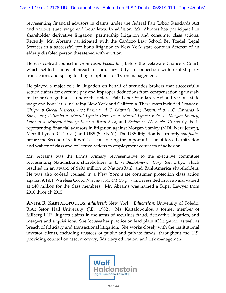representing financial advisors in claims under the federal Fair Labor Standards Act and various state wage and hour laws. In addition, Mr. Abrams has participated in shareholder derivative litigation, partnership litigation and consumer class actions. Recently, Mr. Abrams participated with the Cardozo Law School Bet Tzedek Legal Services in a successful pro bono litigation in New York state court in defense of an elderly disabled person threatened with eviction.

He was co-lead counsel in *In re Tyson Foods, Inc.,* before the Delaware Chancery Court, which settled claims of breach of fiduciary duty in connection with related party transactions and spring loading of options for Tyson management.

He played a major role in litigation on behalf of securities brokers that successfully settled claims for overtime pay and improper deductions from compensation against six major brokerage houses under the federal Fair Labor Standards Act and various state wage and hour laws including New York and California. These cases included *Lavoice v. Citigroup Global Markets, Inc*.; *Basile v. A.G. Edwards, Inc*.; *Rosenthal v. A.G. Edwards & Sons, Inc.*; *Palumbo v. Merrill Lynch*; *Garrison v. Merrill Lynch*; *Roles v. Morgan Stanley*; *Lenihan v. Morgan Stanley*; *Klein v. Ryan Beck*; and *Badain v. Wachovia*. Currently, he is representing financial advisors in litigation against Morgan Stanley (MDL New Jersey), Merrill Lynch (C.D. Cal.) and UBS (S.D.N.Y.). The UBS litigation is currently *sub judice* before the Second Circuit which is considering the important issue of forced arbitration and waiver of class and collective actions in employment contracts of adhesion.

Mr. Abrams was the firm's primary representative to the executive committee representing NationsBank shareholders in *In re BankAmerica Corp. Sec. Litig*., which resulted in an award of \$490 million to NationsBank and BankAmerica shareholders. He was also co-lead counsel in a New York state consumer protection class action against AT&T Wireless Corp., *Naevus v. AT&T Corp*., which resulted in an award valued at \$40 million for the class members. Mr. Abrams was named a Super Lawyer from 2010 through 2015.

**ANITA B. KARTALOPOULOS**: *admitted***:** New York. *Education*: University of Toledo, B.A.; Seton Hall University, (J.D., 1982). Ms. Kartalopoulos, a former member of Milberg LLP, litigates claims in the areas of securities fraud, derivative litigation, and mergers and acquisitions. She focuses her practice on lead plaintiff litigation, as well as breach of fiduciary and transactional litigation. She works closely with the institutional investor clients, including trustees of public and private funds, throughout the U.S. providing counsel on asset recovery, fiduciary education, and risk management.

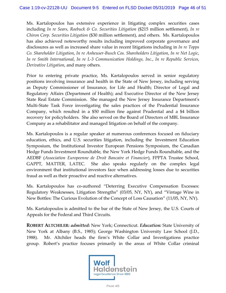Ms. Kartalopoulos has extensive experience in litigating complex securities cases including *In re Sears, Roebuck & Co. Securities Litigation* (\$215 million settlement), *In re Chiron Corp. Securities Litigation* (\$30 million settlement), and others. Ms. Kartalopoulos has also achieved noteworthy results including improved corporate governance and disclosures as well as increased share value in recent litigations including in *In re Topps Co. Shareholder Litigation*, *In re Anheuser-Busch Cos. Shareholders Litigation*, *In re Net Logic*, *In re Smith International*, *In re L-3 Communication Holdings, Inc.*, *In re Republic Services, Derivative Litigation*, and many others.

Prior to entering private practice, Ms. Kartalopoulos served in senior regulatory positions involving insurance and health in the State of New Jersey, including serving as Deputy Commissioner of Insurance, for Life and Health; Director of Legal and Regulatory Affairs (Department of Health); and Executive Director of the New Jersey State Real Estate Commission. She managed the New Jersey Insurance Department's Multi-State Task Force investigating the sales practices of the Prudential Insurance Company, which resulted in a \$50 million fine against Prudential and a \$4 billion recovery for policyholders. She also served on the Board of Directors of MBL Insurance Company as a rehabilitator and managed litigation on behalf of the company.

Ms. Kartalopoulos is a regular speaker at numerous conferences focused on fiduciary education, ethics, and U.S. securities litigation, including the Investment Education Symposium, the Institutional Investor European Pensions Symposium, the Canadian Hedge Funds Investment Roundtable, the New York Hedge Funds Roundtable, and the AEDBF (*Association Europeenne de Droit Bancaire et Financier*), FPPTA Trustee School, GAPPT, MATTER, LATEC. She also speaks regularly on the complex legal environment that institutional investors face when addressing losses due to securities fraud as well as their proactive and reactive alternatives.

Ms. Kartalopoulos has co-authored "Deterring Executive Compensation Excesses: Regulatory Weaknesses, Litigation Strengths" (03/05, NY, NY), and "Vintage Wine in New Bottles: The Curious Evolution of the Concept of Loss Causation" (11/05, NY, NY).

Ms. Kartalopoulos is admitted to the bar of the State of New Jersey, the U.S. Courts of Appeals for the Federal and Third Circuits.

**ROBERT ALTCHILER:** *admitted***:** New York; Connecticut. *Education:* State University of New York at Albany (B.S., 1985); George Washington University Law School (J.D., 1988). Mr. Altchiler heads the firm's White Collar and Investigations practice group. Robert's practice focuses primarily in the areas of White Collar criminal

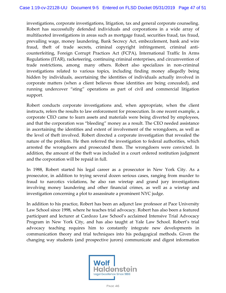investigations, corporate investigations, litigation, tax and general corporate counseling. Robert has successfully defended individuals and corporations in a wide array of multifaceted investigations in areas such as mortgage fraud, securities fraud, tax fraud, prevailing wage, money laundering, Bank Secrecy Act, embezzlement, bank and wire fraud, theft of trade secrets, criminal copyright infringement, criminal anticounterfeiting, Foreign Corrupt Practices Act (FCPA), International Traffic In Arms Regulations (ITAR), racketeering, continuing criminal enterprises, and circumvention of trade restrictions, among many others. Robert also specializes in non-criminal investigations related to various topics, including finding money allegedly being hidden by individuals, ascertaining the identities of individuals actually involved in corporate matters (when a client believes those identities are being concealed), and running undercover "sting" operations as part of civil and commercial litigation support.

Robert conducts corporate investigations and, when appropriate, when the client instructs, refers the results to law enforcement for prosecution. In one recent example, a corporate CEO came to learn assets and materials were being diverted by employees, and that the corporation was "bleeding" money as a result. The CEO needed assistance in ascertaining the identities and extent of involvement of the wrongdoers, as well as the level of theft involved. Robert directed a corporate investigation that revealed the nature of the problem. He then referred the investigation to federal authorities, which arrested the wrongdoers and prosecuted them. The wrongdoers were convicted. In addition, the amount of the theft was included in a court ordered restitution judgment and the corporation will be repaid in full.

In 1988, Robert started his legal career as a prosecutor in New York City. As a prosecutor, in addition to trying several dozen serious cases, ranging from murder to fraud to narcotics violations, he also ran wiretap and grand jury investigations involving money laundering and other financial crimes, as well as a wiretap and investigation concerning a plot to assassinate a prominent NYC judge.

In addition to his practice, Robert has been an adjunct law professor at Pace University Law School since 1998, where he teaches trial advocacy. Robert has also been a featured participant and lecturer at Cardozo Law School's acclaimed Intensive Trial Advocacy Program in New York City, and has also taught at Yale Law School. Robert's trial advocacy teaching requires him to constantly integrate new developments in communication theory and trial techniques into his pedagogical methods. Given the changing way students (and prospective jurors) communicate and digest information

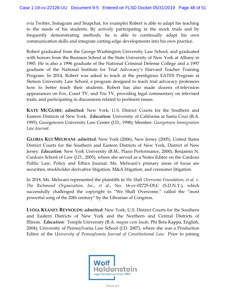(via Twitter, Instagram and Snapchat, for example) Robert is able to adapt his teaching to the needs of his students. By actively participating in the mock trials and by frequently demonstrating methods, he is able to continually adapt his own communication skills and integrate cutting-edge developments into his own practice.

Robert graduated from the George Washington University Law School, and graduated with honors from the Business School at the State University of New York at Albany in 1985. He is also a 1996 graduate of the National Criminal Defense College and a 1997 graduate of the National Institute for Trial Advocacy's Harvard Teacher Training Program. In 2014, Robert was asked to teach at the prestigious EATES Program at Stetson University Law School, a program designed to teach trial advocacy professors how to better teach their students. Robert has also made dozens of television appearances on Fox, Court TV, and Tru TV, providing legal commentary on televised trials, and participating in discussions related to pertinent issues.

**KATE MCGUIRE**: *admitted***:** New York; U.S. District Courts for the Southern and Eastern Districts of New York. *Education*: University of California at Santa Cruz (B.A. 1995), Georgetown University Law Center (J.D., 1998); Member: *Georgetown Immigration Law Journal*.

**GLORIA KUI MELWANI**: *admitted*: New York (2006), New Jersey (2005), United States District Courts for the Southern and Eastern Districts of New York, District of New Jersey. *Education*: New York University (B.M., Piano Performance, 2000); Benjamin N. Cardozo School of Law (J.D., 2005), where she served as a Notes Editor on the Cardozo Public Law, Policy and Ethics Journal. Ms. Melwani's primary areas of focus are securities, stockholder derivative litigation, M&A litigation, and consumer litigation.

In 2018, Ms. Melwani represented the plaintiffs in *We Shall Overcome Foundation, et al. v. The Richmond Organization, Inc., et al.*, No. 16-cv-02725-DLC (S.D.N.Y.), which successfully challenged the copyright to "We Shall Overcome," called the "most powerful song of the 20th century" by the Librarian of Congress.

**LYDIA KEANEY REYNOLDS:** *admitted***:** New York, U.S. District Courts for the Southern and Eastern Districts of New York and the Northern and Central Districts of Illinois. *Education*: Temple University (B.A. *magna cum laude*, Phi Beta Kappa, English, 2004); University of Pennsylvania Law School (J.D. 2007), where she was a Production Editor of the *University of Pennsylvania Journal of Constitutional Law*. Prior to joining

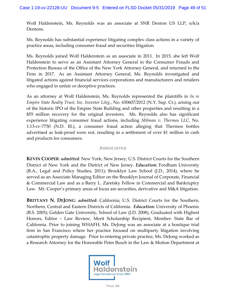Wolf Haldenstein, Ms. Reynolds was an associate at SNR Denton US LLP, n/k/a Dentons.

Ms. Reynolds has substantial experience litigating complex class actions in a variety of practice areas, including consumer fraud and securities litigation.

Ms. Reynolds joined Wolf Haldenstein as an associate in 2011. In 2015, she left Wolf Haldenstein to serve as an Assistant Attorney General in the Consumer Frauds and Protection Bureau of the Office of the New York Attorney General, and returned to the Firm in 2017. As an Assistant Attorney General, Ms. Reynolds investigated and litigated actions against financial services corporations and manufacturers and retailers who engaged in unfair or deceptive practices.

As an attorney at Wolf Haldenstein, Ms. Reynolds represented the plaintiffs in *In re Empire State Realty Trust, Inc. Investor Litig.*, No. 650607/2012 (N.Y. Sup. Ct.), arising out of the historic IPO of the Empire State Building and other properties and resulting in a \$55 million recovery for the original investors. Ms. Reynolds also has significant experience litigating consumer fraud actions, including *Milman v. Thermos LLC*, No. 1:13-cv-7750 (N.D. Ill.), a consumer fraud action alleging that Thermos bottles advertised as leak-proof were not, resulting in a settlement of over \$1 million in cash and products for consumers.

## **ASSOCIATES**

**KEVIN COOPER**: *admitted*: New York; New Jersey; U.S. District Courts for the Southern District of New York and the District of New Jersey. *Education:* Fordham University (B.A., Legal and Policy Studies, 2011); Brooklyn Law School (J.D., 2014), where he served as an Associate Managing Editor on the Brooklyn Journal of Corporate, Financial & Commercial Law and as a Barry L. Zaretsky Fellow in Commercial and Bankruptcy Law. Mr. Cooper's primary areas of focus are securities, derivative and M&A litigation.

**BRITTANY N. DEJONG**: *admitted***:** California; U.S. District Courts for the Southern, Northern, Central and Eastern Districts of California. *Education:* University of Phoenix (B.S. 2005); Golden Gate University, School of Law (J.D. 2008), Graduated with Highest Honors, Editor – Law Review, Merit Scholarship Recipient, Member: State Bar of California. Prior to joining WHAFH, Ms. DeJong was an associate at a boutique trial firm in San Francisco where her practice focused on multiparty litigation involving catastrophic property damage. Prior to entering private practice, Ms. DeJong worked as a Research Attorney for the Honorable Peter Busch in the Law & Motion Department at

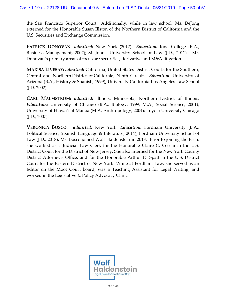the San Francisco Superior Court. Additionally, while in law school, Ms. DeJong externed for the Honorable Susan Illston of the Northern District of California and the U.S. Securities and Exchange Commission.

**PATRICK DONOVAN**: *admitted:* New York (2012). *Education:* Iona College (B.A., Business Management, 2007); St. John's University School of Law (J.D., 2011). Mr. Donovan's primary areas of focus are securities, derivative and M&A litigation.

**MARISA LIVESAY:** *admitted***:** California; United States District Courts for the Southern, Central and Northern District of California; Ninth Circuit. *Education*: University of Arizona (B.A., History & Spanish, 1999); University California Los Angeles Law School (J.D. 2002).

**CARL MALMSTROM:** *admitted:* Illinois; Minnesota; Northern District of Illinois. *Education:* University of Chicago (B.A., Biology, 1999; M.A., Social Science, 2001); University of Hawai'i at Manoa (M.A. Anthropology, 2004); Loyola University Chicago (J.D., 2007).

**VERONICA BOSCO:** *admitted:* New York. *Education:* Fordham University (B.A., Political Science, Spanish Language & Literature, 2014); Fordham University School of Law (J.D., 2018). Ms. Bosco joined Wolf Haldenstein in 2018. Prior to joining the Firm, she worked as a Judicial Law Clerk for the Honorable Claire C. Cecchi in the U.S. District Court for the District of New Jersey. She also interned for the New York County District Attorney's Office, and for the Honorable Arthur D. Spatt in the U.S. District Court for the Eastern District of New York. While at Fordham Law, she served as an Editor on the Moot Court board, was a Teaching Assistant for Legal Writing, and worked in the Legislative & Policy Advocacy Clinic.